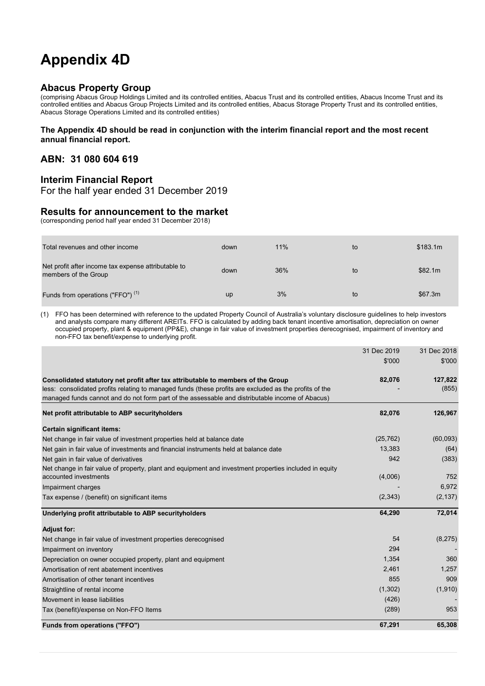## **Appendix 4D**

#### **Abacus Property Group**

(comprising Abacus Group Holdings Limited and its controlled entities, Abacus Trust and its controlled entities, Abacus Income Trust and its controlled entities and Abacus Group Projects Limited and its controlled entities, Abacus Storage Property Trust and its controlled entities, Abacus Storage Operations Limited and its controlled entities)

#### **The Appendix 4D should be read in conjunction with the interim financial report and the most recent annual financial report.**

#### **ABN: 31 080 604 619**

#### **Interim Financial Report**

For the half year ended 31 December 2019

#### **Results for announcement to the market**

(corresponding period half year ended 31 December 2018)

| Total revenues and other income                                             | down      | 11% | to | \$183.1m |
|-----------------------------------------------------------------------------|-----------|-----|----|----------|
| Net profit after income tax expense attributable to<br>members of the Group | down      | 36% | to | \$82.1m  |
| Funds from operations ("FFO") <sup>(1)</sup>                                | <b>up</b> | 3%  | to | \$67.3m  |

(1) FFO has been determined with reference to the updated Property Council of Australia's voluntary disclosure guidelines to help investors and analysts compare many different AREITs. FFO is calculated by adding back tenant incentive amortisation, depreciation on owner occupied property, plant & equipment (PP&E), change in fair value of investment properties derecognised, impairment of inventory and non-FFO tax benefit/expense to underlying profit.

|                                                                                                        | 31 Dec 2019 | 31 Dec 2018 |
|--------------------------------------------------------------------------------------------------------|-------------|-------------|
|                                                                                                        | \$'000      | \$'000      |
| Consolidated statutory net profit after tax attributable to members of the Group                       | 82,076      | 127,822     |
| less: consolidated profits relating to managed funds (these profits are excluded as the profits of the |             | (855)       |
| managed funds cannot and do not form part of the assessable and distributable income of Abacus)        |             |             |
| Net profit attributable to ABP security holders                                                        | 82,076      | 126,967     |
| Certain significant items:                                                                             |             |             |
| Net change in fair value of investment properties held at balance date                                 | (25, 762)   | (60,093)    |
| Net gain in fair value of investments and financial instruments held at balance date                   | 13,383      | (64)        |
| Net gain in fair value of derivatives                                                                  | 942         | (383)       |
| Net change in fair value of property, plant and equipment and investment properties included in equity |             |             |
| accounted investments                                                                                  | (4,006)     | 752         |
| Impairment charges                                                                                     |             | 6.972       |
| Tax expense / (benefit) on significant items                                                           | (2, 343)    | (2, 137)    |
| Underlying profit attributable to ABP securityholders                                                  | 64,290      | 72,014      |
| <b>Adjust for:</b>                                                                                     |             |             |
| Net change in fair value of investment properties derecognised                                         | 54          | (8, 275)    |
| Impairment on inventory                                                                                | 294         |             |
| Depreciation on owner occupied property, plant and equipment                                           | 1,354       | 360         |
| Amortisation of rent abatement incentives                                                              | 2,461       | 1,257       |
| Amortisation of other tenant incentives                                                                | 855         | 909         |
| Straightline of rental income                                                                          | (1,302)     | (1,910)     |
| Movement in lease liabilities                                                                          | (426)       |             |
| Tax (benefit)/expense on Non-FFO Items                                                                 | (289)       | 953         |
| Funds from operations ("FFO")                                                                          | 67,291      | 65,308      |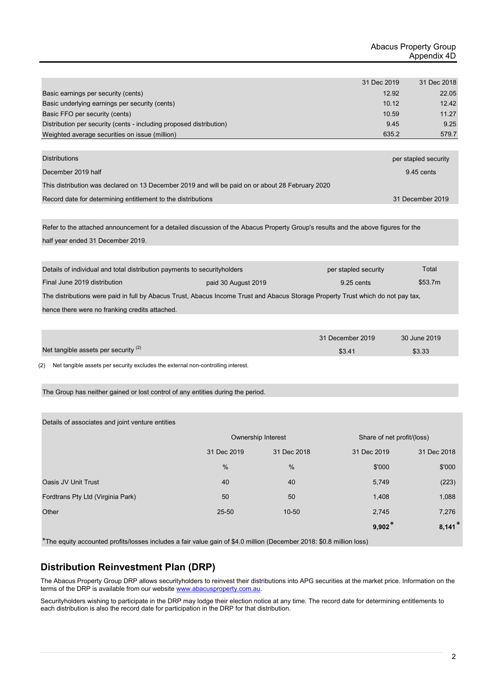|                                                                                                  | 31 Dec 2019  | 31 Dec 2018          |
|--------------------------------------------------------------------------------------------------|--------------|----------------------|
| Basic earnings per security (cents)                                                              | 12.92        | 22.05                |
| Basic underlying earnings per security (cents)                                                   | 10.12        | 12.42                |
| Basic FFO per security (cents)                                                                   | 10.59        | 11.27                |
| Distribution per security (cents - including proposed distribution)                              | 9.45         | 9.25                 |
| Weighted average securities on issue (million)                                                   | 635.2        | 579.7                |
|                                                                                                  |              |                      |
| <b>Distributions</b>                                                                             |              | per stapled security |
| December 2019 half                                                                               | $9.45$ cents |                      |
| This distribution was declared on 13 December 2019 and will be paid on or about 28 February 2020 |              |                      |
| Record date for determining entitlement to the distributions                                     |              | 31 December 2019     |

Refer to the attached announcement for a detailed discussion of the Abacus Property Group's results and the above figures for the half year ended 31 December 2019.

| Details of individual and total distribution payments to security holders                                                        |  | per stapled security | Total   |  |
|----------------------------------------------------------------------------------------------------------------------------------|--|----------------------|---------|--|
| Final June 2019 distribution<br>paid 30 August 2019                                                                              |  | $9.25$ cents         | \$53.7m |  |
| The distributions were paid in full by Abacus Trust, Abacus Income Trust and Abacus Storage Property Trust which do not pay tax, |  |                      |         |  |
| hence there were no franking credits attached.                                                                                   |  |                      |         |  |

|                                      | 31 December 2019 | 30 June 2019 |
|--------------------------------------|------------------|--------------|
| Net tangible assets per security (2) | \$3.41           | \$3.33       |

(2) Net tangible assets per security excludes the external non-controlling interest.

The Group has neither gained or lost control of any entities during the period.

Details of associates and joint venture entities

|                                   | Ownership Interest         |           | Share of net profit/(loss) |             |
|-----------------------------------|----------------------------|-----------|----------------------------|-------------|
|                                   | 31 Dec 2018<br>31 Dec 2019 |           | 31 Dec 2019                | 31 Dec 2018 |
|                                   | %                          | $\%$      | \$'000                     | \$'000      |
| Oasis JV Unit Trust               | 40                         | 40        | 5,749                      | (223)       |
| Fordtrans Pty Ltd (Virginia Park) | 50                         | 50        | 1,408                      | 1,088       |
| Other                             | 25-50                      | $10 - 50$ | 2,745                      | 7,276       |
|                                   |                            |           | $9,902*$                   | $8,141*$    |

\*The equity accounted profits/losses includes a fair value gain of \$4.0 million (December 2018: \$0.8 million loss)

#### **Distribution Reinvestment Plan (DRP)**

The Abacus Property Group DRP allows securityholders to reinvest their distributions into APG securities at the market price. Information on the terms of the DRP is available from our website www.abacusproperty.com.au.

Securityholders wishing to participate in the DRP may lodge their election notice at any time. The record date for determining entitlements to each distribution is also the record date for participation in the DRP for that distribution.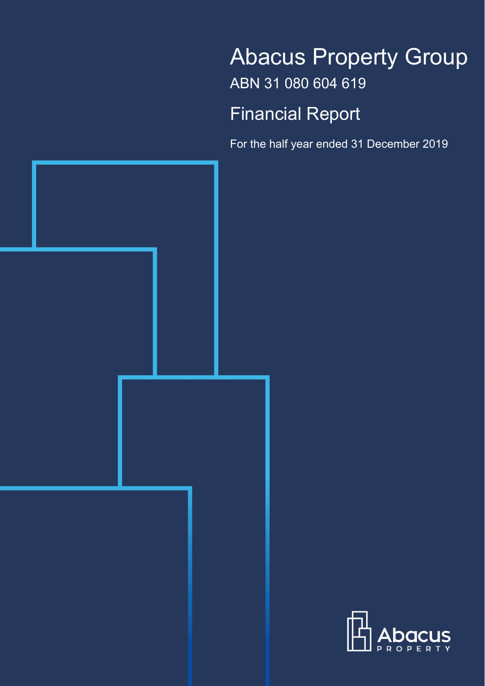# Abacus Property Group ABN 31 080 604 619 Financial Report

For the half year ended 31 December 2019



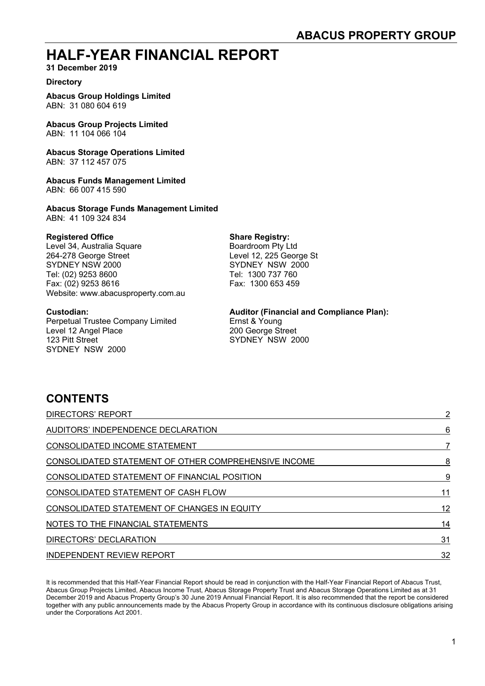### **HALF-YEAR FINANCIAL REPORT**

**31 December 2019** 

#### **Directory**

**Abacus Group Holdings Limited**  ABN: 31 080 604 619

**Abacus Group Projects Limited**  ABN: 11 104 066 104

**Abacus Storage Operations Limited**  ABN: 37 112 457 075

**Abacus Funds Management Limited**  ABN: 66 007 415 590

**Abacus Storage Funds Management Limited**  ABN: 41 109 324 834

**Registered Office Share Registry:**<br>
Level 34, Australia Square **Share Registry:**<br>
Boardroom Pty Ltd Level 34, Australia Square 264-278 George Street Level 12, 225 George St SYDNEY NSW 2000 SYDNEY NSW 2000 Tel: (02) 9253 8600 Tel: 1300 737 760 Fax: (02) 9253 8616 Fax: 1300 653 459 Website: www.abacusproperty.com.au

Perpetual Trustee Company Limited Ernst & Young Level 12 Angel Place 200 George Street 123 Pitt Street Street SYDNEY NSW 2000 SYDNEY NSW 2000

#### **Custodian: Auditor (Financial and Compliance Plan):**

### **CONTENTS**

| <b>DIRECTORS' REPORT</b>                             | $\overline{2}$ |
|------------------------------------------------------|----------------|
| AUDITORS' INDEPENDENCE DECLARATION                   | 6              |
| CONSOLIDATED INCOME STATEMENT                        |                |
| CONSOLIDATED STATEMENT OF OTHER COMPREHENSIVE INCOME | 8              |
| CONSOLIDATED STATEMENT OF FINANCIAL POSITION         | 9              |
| CONSOLIDATED STATEMENT OF CASH FLOW                  | 11             |
| CONSOLIDATED STATEMENT OF CHANGES IN EQUITY          | 12             |
| NOTES TO THE FINANCIAL STATEMENTS                    | 14             |
| DIRECTORS' DECLARATION                               | 31             |
| <b>INDEPENDENT REVIEW REPORT</b>                     | 32             |

It is recommended that this Half-Year Financial Report should be read in conjunction with the Half-Year Financial Report of Abacus Trust, Abacus Group Projects Limited, Abacus Income Trust, Abacus Storage Property Trust and Abacus Storage Operations Limited as at 31 December 2019 and Abacus Property Group's 30 June 2019 Annual Financial Report. It is also recommended that the report be considered together with any public announcements made by the Abacus Property Group in accordance with its continuous disclosure obligations arising under the Corporations Act 2001.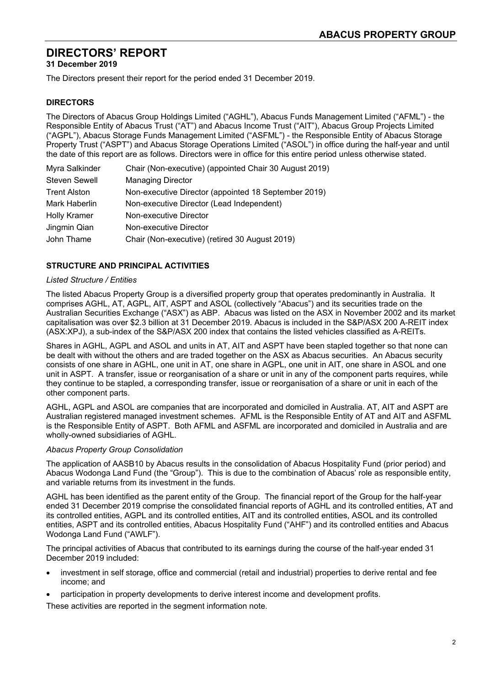**31 December 2019** 

The Directors present their report for the period ended 31 December 2019.

#### **DIRECTORS**

The Directors of Abacus Group Holdings Limited ("AGHL"), Abacus Funds Management Limited ("AFML") - the Responsible Entity of Abacus Trust ("AT") and Abacus Income Trust ("AIT"), Abacus Group Projects Limited ("AGPL"), Abacus Storage Funds Management Limited ("ASFML") - the Responsible Entity of Abacus Storage Property Trust ("ASPT") and Abacus Storage Operations Limited ("ASOL") in office during the half-year and until the date of this report are as follows. Directors were in office for this entire period unless otherwise stated.

| Myra Salkinder       | Chair (Non-executive) (appointed Chair 30 August 2019) |
|----------------------|--------------------------------------------------------|
| <b>Steven Sewell</b> | <b>Managing Director</b>                               |
| <b>Trent Alston</b>  | Non-executive Director (appointed 18 September 2019)   |
| Mark Haberlin        | Non-executive Director (Lead Independent)              |
| <b>Holly Kramer</b>  | Non-executive Director                                 |
| Jingmin Qian         | Non-executive Director                                 |
| John Thame           | Chair (Non-executive) (retired 30 August 2019)         |
|                      |                                                        |

#### **STRUCTURE AND PRINCIPAL ACTIVITIES**

#### *Listed Structure / Entities*

The listed Abacus Property Group is a diversified property group that operates predominantly in Australia. It comprises AGHL, AT, AGPL, AIT, ASPT and ASOL (collectively "Abacus") and its securities trade on the Australian Securities Exchange ("ASX") as ABP. Abacus was listed on the ASX in November 2002 and its market capitalisation was over \$2.3 billion at 31 December 2019. Abacus is included in the S&P/ASX 200 A-REIT index (ASX:XPJ), a sub-index of the S&P/ASX 200 index that contains the listed vehicles classified as A-REITs.

Shares in AGHL, AGPL and ASOL and units in AT, AIT and ASPT have been stapled together so that none can be dealt with without the others and are traded together on the ASX as Abacus securities. An Abacus security consists of one share in AGHL, one unit in AT, one share in AGPL, one unit in AIT, one share in ASOL and one unit in ASPT. A transfer, issue or reorganisation of a share or unit in any of the component parts requires, while they continue to be stapled, a corresponding transfer, issue or reorganisation of a share or unit in each of the other component parts.

AGHL, AGPL and ASOL are companies that are incorporated and domiciled in Australia. AT, AIT and ASPT are Australian registered managed investment schemes. AFML is the Responsible Entity of AT and AIT and ASFML is the Responsible Entity of ASPT. Both AFML and ASFML are incorporated and domiciled in Australia and are wholly-owned subsidiaries of AGHL.

#### *Abacus Property Group Consolidation*

The application of AASB10 by Abacus results in the consolidation of Abacus Hospitality Fund (prior period) and Abacus Wodonga Land Fund (the "Group"). This is due to the combination of Abacus' role as responsible entity, and variable returns from its investment in the funds.

AGHL has been identified as the parent entity of the Group. The financial report of the Group for the half-year ended 31 December 2019 comprise the consolidated financial reports of AGHL and its controlled entities, AT and its controlled entities, AGPL and its controlled entities, AIT and its controlled entities, ASOL and its controlled entities, ASPT and its controlled entities, Abacus Hospitality Fund ("AHF") and its controlled entities and Abacus Wodonga Land Fund ("AWLF").

The principal activities of Abacus that contributed to its earnings during the course of the half-year ended 31 December 2019 included:

- investment in self storage, office and commercial (retail and industrial) properties to derive rental and fee income; and
- participation in property developments to derive interest income and development profits.

These activities are reported in the segment information note.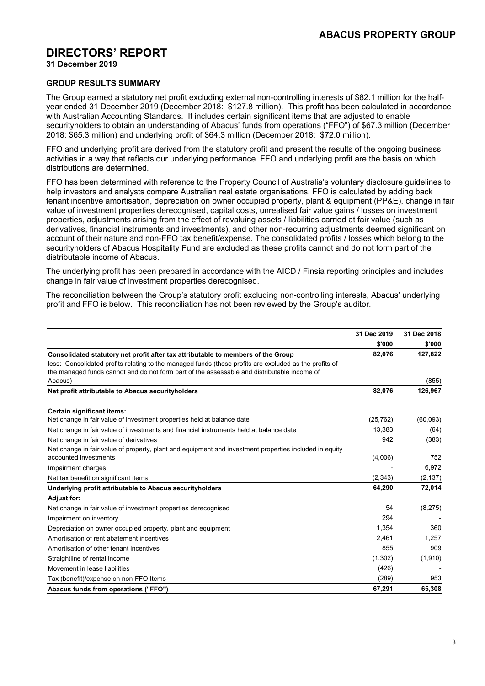**31 December 2019** 

#### **GROUP RESULTS SUMMARY**

The Group earned a statutory net profit excluding external non-controlling interests of \$82.1 million for the halfyear ended 31 December 2019 (December 2018: \$127.8 million). This profit has been calculated in accordance with Australian Accounting Standards. It includes certain significant items that are adjusted to enable securityholders to obtain an understanding of Abacus' funds from operations ("FFO") of \$67.3 million (December 2018: \$65.3 million) and underlying profit of \$64.3 million (December 2018: \$72.0 million).

FFO and underlying profit are derived from the statutory profit and present the results of the ongoing business activities in a way that reflects our underlying performance. FFO and underlying profit are the basis on which distributions are determined.

FFO has been determined with reference to the Property Council of Australia's voluntary disclosure guidelines to help investors and analysts compare Australian real estate organisations. FFO is calculated by adding back tenant incentive amortisation, depreciation on owner occupied property, plant & equipment (PP&E), change in fair value of investment properties derecognised, capital costs, unrealised fair value gains / losses on investment properties, adjustments arising from the effect of revaluing assets / liabilities carried at fair value (such as derivatives, financial instruments and investments), and other non-recurring adjustments deemed significant on account of their nature and non-FFO tax benefit/expense. The consolidated profits / losses which belong to the securityholders of Abacus Hospitality Fund are excluded as these profits cannot and do not form part of the distributable income of Abacus.

The underlying profit has been prepared in accordance with the AICD / Finsia reporting principles and includes change in fair value of investment properties derecognised.

The reconciliation between the Group's statutory profit excluding non-controlling interests, Abacus' underlying profit and FFO is below. This reconciliation has not been reviewed by the Group's auditor.

|                                                                                                                                                                                                                                                                                           | 31 Dec 2019 | 31 Dec 2018 |
|-------------------------------------------------------------------------------------------------------------------------------------------------------------------------------------------------------------------------------------------------------------------------------------------|-------------|-------------|
|                                                                                                                                                                                                                                                                                           | \$'000      | \$'000      |
| Consolidated statutory net profit after tax attributable to members of the Group<br>less: Consolidated profits relating to the managed funds (these profits are excluded as the profits of<br>the managed funds cannot and do not form part of the assessable and distributable income of | 82,076      | 127,822     |
| Abacus)                                                                                                                                                                                                                                                                                   |             | (855)       |
| Net profit attributable to Abacus securityholders                                                                                                                                                                                                                                         | 82,076      | 126,967     |
| Certain significant items:                                                                                                                                                                                                                                                                |             |             |
| Net change in fair value of investment properties held at balance date                                                                                                                                                                                                                    | (25, 762)   | (60,093)    |
| Net change in fair value of investments and financial instruments held at balance date                                                                                                                                                                                                    | 13,383      | (64)        |
| Net change in fair value of derivatives                                                                                                                                                                                                                                                   | 942         | (383)       |
| Net change in fair value of property, plant and equipment and investment properties included in equity                                                                                                                                                                                    |             |             |
| accounted investments                                                                                                                                                                                                                                                                     | (4,006)     | 752         |
| Impairment charges                                                                                                                                                                                                                                                                        |             | 6,972       |
| Net tax benefit on significant items                                                                                                                                                                                                                                                      | (2,343)     | (2, 137)    |
| Underlying profit attributable to Abacus securityholders                                                                                                                                                                                                                                  | 64,290      | 72,014      |
| <b>Adjust for:</b>                                                                                                                                                                                                                                                                        |             |             |
| Net change in fair value of investment properties derecognised                                                                                                                                                                                                                            | 54          | (8, 275)    |
| Impairment on inventory                                                                                                                                                                                                                                                                   | 294         |             |
| Depreciation on owner occupied property, plant and equipment                                                                                                                                                                                                                              | 1.354       | 360         |
| Amortisation of rent abatement incentives                                                                                                                                                                                                                                                 | 2,461       | 1.257       |
| Amortisation of other tenant incentives                                                                                                                                                                                                                                                   | 855         | 909         |
| Straightline of rental income                                                                                                                                                                                                                                                             | (1,302)     | (1,910)     |
| Movement in lease liabilities                                                                                                                                                                                                                                                             | (426)       |             |
| Tax (benefit)/expense on non-FFO Items                                                                                                                                                                                                                                                    | (289)       | 953         |
| Abacus funds from operations ("FFO")                                                                                                                                                                                                                                                      | 67,291      | 65,308      |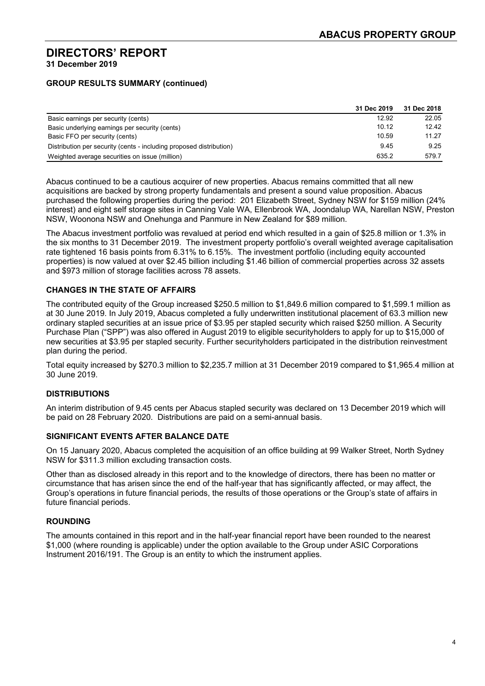#### **GROUP RESULTS SUMMARY (continued)**

|                                                                     | 31 Dec 2019 | 31 Dec 2018 |
|---------------------------------------------------------------------|-------------|-------------|
| Basic earnings per security (cents)                                 | 12.92       | 22.05       |
| Basic underlying earnings per security (cents)                      | 10.12       | 12.42       |
| Basic FFO per security (cents)                                      | 10.59       | 11.27       |
| Distribution per security (cents - including proposed distribution) | 9.45        | 9.25        |
| Weighted average securities on issue (million)                      | 635.2       | 579.7       |

Abacus continued to be a cautious acquirer of new properties. Abacus remains committed that all new acquisitions are backed by strong property fundamentals and present a sound value proposition. Abacus purchased the following properties during the period: 201 Elizabeth Street, Sydney NSW for \$159 million (24% interest) and eight self storage sites in Canning Vale WA, Ellenbrook WA, Joondalup WA, Narellan NSW, Preston NSW, Woonona NSW and Onehunga and Panmure in New Zealand for \$89 million.

The Abacus investment portfolio was revalued at period end which resulted in a gain of \$25.8 million or 1.3% in the six months to 31 December 2019. The investment property portfolio's overall weighted average capitalisation rate tightened 16 basis points from 6.31% to 6.15%. The investment portfolio (including equity accounted properties) is now valued at over \$2.45 billion including \$1.46 billion of commercial properties across 32 assets and \$973 million of storage facilities across 78 assets.

#### **CHANGES IN THE STATE OF AFFAIRS**

The contributed equity of the Group increased \$250.5 million to \$1,849.6 million compared to \$1,599.1 million as at 30 June 2019. In July 2019, Abacus completed a fully underwritten institutional placement of 63.3 million new ordinary stapled securities at an issue price of \$3.95 per stapled security which raised \$250 million. A Security Purchase Plan ("SPP") was also offered in August 2019 to eligible securityholders to apply for up to \$15,000 of new securities at \$3.95 per stapled security. Further securityholders participated in the distribution reinvestment plan during the period.

Total equity increased by \$270.3 million to \$2,235.7 million at 31 December 2019 compared to \$1,965.4 million at 30 June 2019.

#### **DISTRIBUTIONS**

An interim distribution of 9.45 cents per Abacus stapled security was declared on 13 December 2019 which will be paid on 28 February 2020. Distributions are paid on a semi-annual basis.

#### **SIGNIFICANT EVENTS AFTER BALANCE DATE**

On 15 January 2020, Abacus completed the acquisition of an office building at 99 Walker Street, North Sydney NSW for \$311.3 million excluding transaction costs.

Other than as disclosed already in this report and to the knowledge of directors, there has been no matter or circumstance that has arisen since the end of the half-year that has significantly affected, or may affect, the Group's operations in future financial periods, the results of those operations or the Group's state of affairs in future financial periods.

#### **ROUNDING**

The amounts contained in this report and in the half-year financial report have been rounded to the nearest \$1,000 (where rounding is applicable) under the option available to the Group under ASIC Corporations Instrument 2016/191. The Group is an entity to which the instrument applies.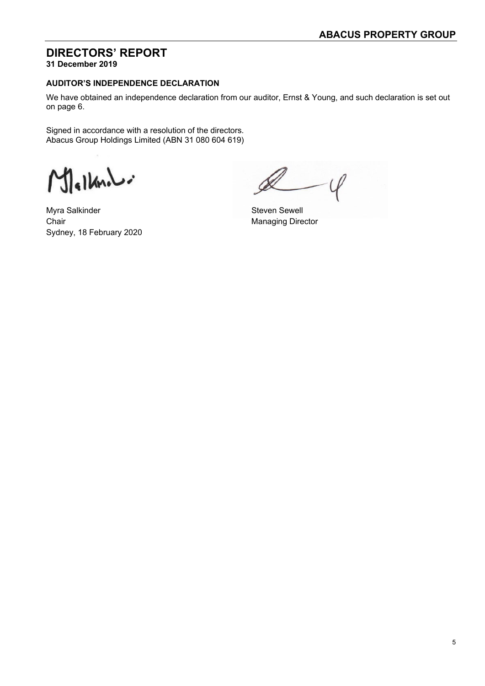**31 December 2019** 

#### **AUDITOR'S INDEPENDENCE DECLARATION**

We have obtained an independence declaration from our auditor, Ernst & Young, and such declaration is set out on page 6.

Signed in accordance with a resolution of the directors. Abacus Group Holdings Limited (ABN 31 080 604 619)

Mallands

Myra Salkinder Steven Sewell Chair **Chair** Managing Director Sydney, 18 February 2020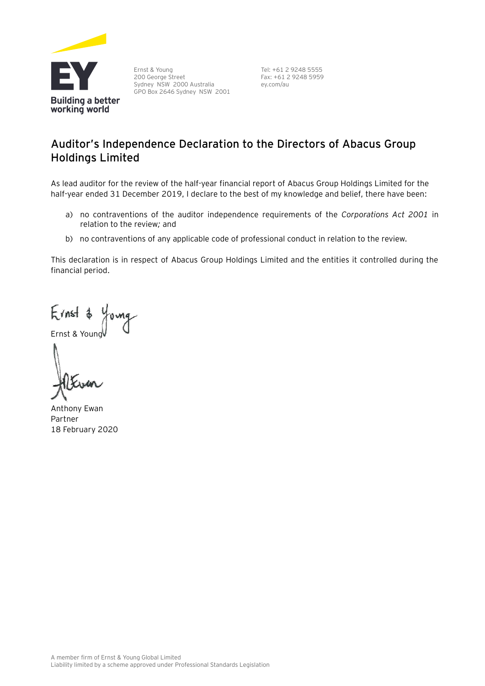

Ernst & Young 200 George Street Sydney NSW 2000 Australia GPO Box 2646 Sydney NSW 2001

Tel: +61 2 9248 5555 Fax: +61 2 9248 5959 ey.com/au

### **Auditor's Independence Declaration to the Directors of Abacus Group Holdings Limited**

As lead auditor for the review of the half-year financial report of Abacus Group Holdings Limited for the half-year ended 31 December 2019, I declare to the best of my knowledge and belief, there have been:

- a) no contraventions of the auditor independence requirements of the *Corporations Act 2001* in relation to the review*;* and
- b) no contraventions of any applicable code of professional conduct in relation to the review.

This declaration is in respect of Abacus Group Holdings Limited and the entities it controlled during the financial period.

 $F$ *(nst*  $\phi$ 

Ernst & Young

Anthony Ewan Partner 18 February 2020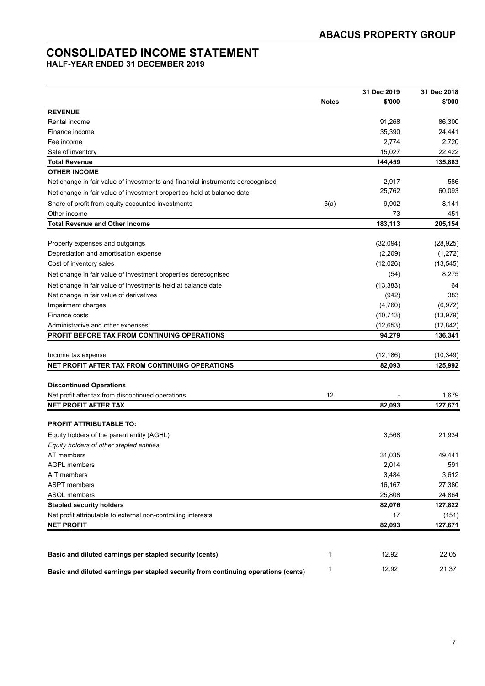### **CONSOLIDATED INCOME STATEMENT**

**HALF-YEAR ENDED 31 DECEMBER 2019** 

|                                                                                    |              | 31 Dec 2019 | 31 Dec 2018 |
|------------------------------------------------------------------------------------|--------------|-------------|-------------|
|                                                                                    | <b>Notes</b> | \$'000      | \$'000      |
| <b>REVENUE</b>                                                                     |              |             |             |
| Rental income                                                                      |              | 91,268      | 86,300      |
| Finance income                                                                     |              | 35,390      | 24,441      |
| Fee income                                                                         |              | 2,774       | 2,720       |
| Sale of inventory                                                                  |              | 15,027      | 22,422      |
| <b>Total Revenue</b>                                                               |              | 144,459     | 135,883     |
| <b>OTHER INCOME</b>                                                                |              |             |             |
| Net change in fair value of investments and financial instruments derecognised     |              | 2,917       | 586         |
| Net change in fair value of investment properties held at balance date             |              | 25,762      | 60,093      |
| Share of profit from equity accounted investments                                  | 5(a)         | 9,902       | 8,141       |
| Other income                                                                       |              | 73          | 451         |
| <b>Total Revenue and Other Income</b>                                              |              | 183,113     | 205,154     |
|                                                                                    |              |             |             |
| Property expenses and outgoings                                                    |              | (32,094)    | (28, 925)   |
| Depreciation and amortisation expense                                              |              | (2,209)     | (1, 272)    |
| Cost of inventory sales                                                            |              | (12,026)    | (13, 545)   |
| Net change in fair value of investment properties derecognised                     |              | (54)        | 8,275       |
| Net change in fair value of investments held at balance date                       |              | (13, 383)   | 64          |
| Net change in fair value of derivatives                                            |              | (942)       | 383         |
| Impairment charges                                                                 |              | (4,760)     | (6, 972)    |
| Finance costs                                                                      |              | (10, 713)   | (13, 979)   |
| Administrative and other expenses                                                  |              | (12, 653)   | (12, 842)   |
| PROFIT BEFORE TAX FROM CONTINUING OPERATIONS                                       |              | 94,279      | 136,341     |
|                                                                                    |              |             |             |
| Income tax expense                                                                 |              | (12, 186)   | (10, 349)   |
| NET PROFIT AFTER TAX FROM CONTINUING OPERATIONS                                    |              | 82,093      | 125,992     |
|                                                                                    |              |             |             |
| <b>Discontinued Operations</b>                                                     |              |             |             |
| Net profit after tax from discontinued operations                                  | 12           |             | 1,679       |
| <b>NET PROFIT AFTER TAX</b>                                                        |              | 82,093      | 127,671     |
|                                                                                    |              |             |             |
| <b>PROFIT ATTRIBUTABLE TO:</b>                                                     |              |             |             |
| Equity holders of the parent entity (AGHL)                                         |              | 3,568       | 21,934      |
| Equity holders of other stapled entities                                           |              |             |             |
| AT members                                                                         |              | 31,035      | 49,441      |
| <b>AGPL members</b>                                                                |              | 2,014       | 591         |
| AIT members                                                                        |              | 3,484       | 3,612       |
| <b>ASPT</b> members                                                                |              | 16,167      | 27,380      |
| ASOL members                                                                       |              | 25,808      | 24,864      |
| <b>Stapled security holders</b>                                                    |              | 82,076      | 127,822     |
| Net profit attributable to external non-controlling interests                      |              | 17          | (151)       |
| <b>NET PROFIT</b>                                                                  |              | 82,093      | 127,671     |
|                                                                                    |              |             |             |
| Basic and diluted earnings per stapled security (cents)                            | 1            | 12.92       | 22.05       |
|                                                                                    |              |             |             |
| Basic and diluted earnings per stapled security from continuing operations (cents) | 1            | 12.92       | 21.37       |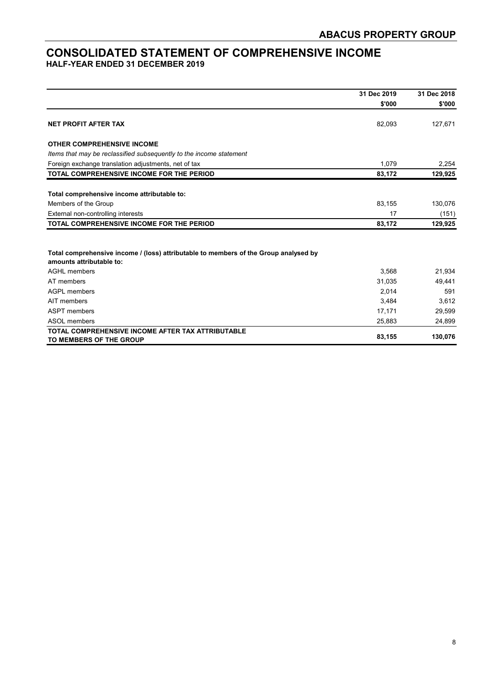#### **CONSOLIDATED STATEMENT OF COMPREHENSIVE INCOME HALF-YEAR ENDED 31 DECEMBER 2019**

|                                                                                                                  | 31 Dec 2019 | 31 Dec 2018<br>\$'000 |
|------------------------------------------------------------------------------------------------------------------|-------------|-----------------------|
|                                                                                                                  | \$'000      |                       |
| <b>NET PROFIT AFTER TAX</b>                                                                                      | 82,093      | 127,671               |
| <b>OTHER COMPREHENSIVE INCOME</b>                                                                                |             |                       |
| Items that may be reclassified subsequently to the income statement                                              |             |                       |
| Foreign exchange translation adjustments, net of tax                                                             | 1.079       | 2,254                 |
| TOTAL COMPREHENSIVE INCOME FOR THE PERIOD                                                                        | 83,172      | 129,925               |
| Total comprehensive income attributable to:                                                                      |             |                       |
| Members of the Group                                                                                             | 83,155      | 130,076               |
| External non-controlling interests                                                                               | 17          | (151)                 |
| TOTAL COMPREHENSIVE INCOME FOR THE PERIOD                                                                        | 83,172      | 129,925               |
| Total comprehensive income / (loss) attributable to members of the Group analysed by<br>amounts attributable to: |             |                       |
| <b>AGHL</b> members                                                                                              | 3,568       | 21,934                |
| AT members                                                                                                       | 31,035      | 49,441                |
| AGPL members                                                                                                     | 2,014       | 591                   |
| AIT members                                                                                                      | 3,484       | 3,612                 |
| <b>ASPT</b> members                                                                                              | 17,171      | 29,599                |
| ASOL members                                                                                                     | 25,883      | 24,899                |
| TOTAL COMPREHENSIVE INCOME AFTER TAX ATTRIBUTABLE<br>TO MEMBERS OF THE GROUP                                     | 83,155      | 130,076               |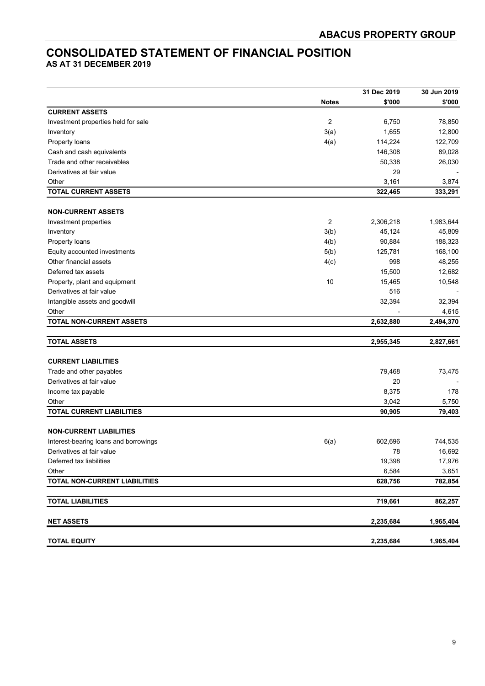### **CONSOLIDATED STATEMENT OF FINANCIAL POSITION**

**AS AT 31 DECEMBER 2019** 

|                                       |                | 31 Dec 2019 | 30 Jun 2019 |
|---------------------------------------|----------------|-------------|-------------|
|                                       | <b>Notes</b>   | \$'000      | \$'000      |
| <b>CURRENT ASSETS</b>                 |                |             |             |
| Investment properties held for sale   | $\overline{c}$ | 6,750       | 78,850      |
| Inventory                             | 3(a)           | 1,655       | 12,800      |
| Property loans                        | 4(a)           | 114,224     | 122,709     |
| Cash and cash equivalents             |                | 146,308     | 89,028      |
| Trade and other receivables           |                | 50,338      | 26,030      |
| Derivatives at fair value             |                | 29          |             |
| Other                                 |                | 3,161       | 3,874       |
| <b>TOTAL CURRENT ASSETS</b>           |                | 322,465     | 333,291     |
|                                       |                |             |             |
| <b>NON-CURRENT ASSETS</b>             |                |             |             |
| Investment properties                 | $\overline{2}$ | 2,306,218   | 1,983,644   |
| Inventory                             | 3(b)           | 45,124      | 45,809      |
| Property loans                        | 4(b)           | 90,884      | 188,323     |
| Equity accounted investments          | 5(b)           | 125,781     | 168,100     |
| Other financial assets                | 4(c)           | 998         | 48,255      |
| Deferred tax assets                   |                | 15,500      | 12,682      |
| Property, plant and equipment         | 10             | 15,465      | 10,548      |
| Derivatives at fair value             |                | 516         |             |
| Intangible assets and goodwill        |                | 32,394      | 32,394      |
| Other                                 |                |             | 4,615       |
| <b>TOTAL NON-CURRENT ASSETS</b>       |                | 2,632,880   | 2,494,370   |
| <b>TOTAL ASSETS</b>                   |                | 2,955,345   | 2,827,661   |
| <b>CURRENT LIABILITIES</b>            |                |             |             |
| Trade and other payables              |                | 79,468      | 73,475      |
| Derivatives at fair value             |                | 20          |             |
|                                       |                | 8,375       | 178         |
| Income tax payable<br>Other           |                | 3,042       | 5,750       |
| <b>TOTAL CURRENT LIABILITIES</b>      |                | 90,905      | 79,403      |
|                                       |                |             |             |
| <b>NON-CURRENT LIABILITIES</b>        |                |             |             |
| Interest-bearing loans and borrowings | 6(a)           | 602,696     | 744,535     |
| Derivatives at fair value             |                | 78          | 16,692      |
| Deferred tax liabilities              |                | 19,398      | 17,976      |
| Other                                 |                | 6,584       | 3,651       |
| TOTAL NON-CURRENT LIABILITIES         |                | 628,756     | 782,854     |
| <b>TOTAL LIABILITIES</b>              |                | 719,661     | 862,257     |
|                                       |                |             |             |
| <b>NET ASSETS</b>                     |                | 2,235,684   | 1,965,404   |
| <b>TOTAL EQUITY</b>                   |                | 2,235,684   | 1,965,404   |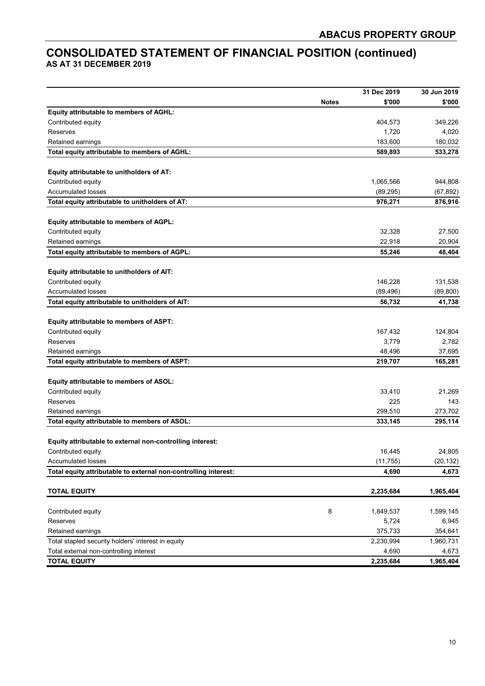### **CONSOLIDATED STATEMENT OF FINANCIAL POSITION (continued) AS AT 31 DECEMBER 2019**

|                                                                 |              | 31 Dec 2019 | 30 Jun 2019 |
|-----------------------------------------------------------------|--------------|-------------|-------------|
|                                                                 | <b>Notes</b> | \$'000      | \$'000      |
| Equity attributable to members of AGHL:                         |              |             |             |
| Contributed equity                                              |              | 404,573     | 349,226     |
| Reserves                                                        |              | 1,720       | 4,020       |
| Retained earnings                                               |              | 183,600     | 180,032     |
| Total equity attributable to members of AGHL:                   |              | 589,893     | 533,278     |
|                                                                 |              |             |             |
| Equity attributable to unitholders of AT:                       |              |             |             |
| Contributed equity                                              |              | 1,065,566   | 944,808     |
| <b>Accumulated losses</b>                                       |              | (89, 295)   | (67, 892)   |
| Total equity attributable to unitholders of AT:                 |              | 976,271     | 876,916     |
|                                                                 |              |             |             |
| Equity attributable to members of AGPL:                         |              |             |             |
| Contributed equity                                              |              | 32,328      | 27,500      |
| Retained earnings                                               |              | 22,918      | 20,904      |
| Total equity attributable to members of AGPL:                   |              | 55,246      | 48,404      |
| Equity attributable to unitholders of AIT:                      |              |             |             |
| Contributed equity                                              |              | 146,228     | 131,538     |
| <b>Accumulated losses</b>                                       |              | (89, 496)   | (89, 800)   |
| Total equity attributable to unitholders of AIT:                |              | 56,732      | 41,738      |
|                                                                 |              |             |             |
| Equity attributable to members of ASPT:                         |              |             |             |
| Contributed equity                                              |              | 167,432     | 124,804     |
| Reserves                                                        |              | 3,779       | 2,782       |
| Retained earnings                                               |              | 48,496      | 37,695      |
| Total equity attributable to members of ASPT:                   |              | 219,707     | 165,281     |
|                                                                 |              |             |             |
| Equity attributable to members of ASOL:                         |              |             |             |
| Contributed equity                                              |              | 33,410      | 21,269      |
| Reserves                                                        |              | 225         | 143         |
| Retained earnings                                               |              | 299,510     | 273,702     |
| Total equity attributable to members of ASOL:                   |              | 333,145     | 295,114     |
| Equity attributable to external non-controlling interest:       |              |             |             |
| Contributed equity                                              |              | 16,445      | 24,805      |
| <b>Accumulated losses</b>                                       |              | (11, 755)   | (20, 132)   |
| Total equity attributable to external non-controlling interest: |              | 4,690       | 4,673       |
|                                                                 |              |             |             |
| <b>TOTAL EQUITY</b>                                             |              | 2,235,684   | 1,965,404   |
| Contributed equity                                              | 8            | 1,849,537   | 1,599,145   |
| Reserves                                                        |              | 5,724       | 6,945       |
| Retained earnings                                               |              | 375,733     | 354,641     |
| Total stapled security holders' interest in equity              |              | 2,230,994   | 1,960,731   |
| Total external non-controlling interest                         |              | 4,690       | 4,673       |
| <b>TOTAL EQUITY</b>                                             |              | 2,235,684   | 1,965,404   |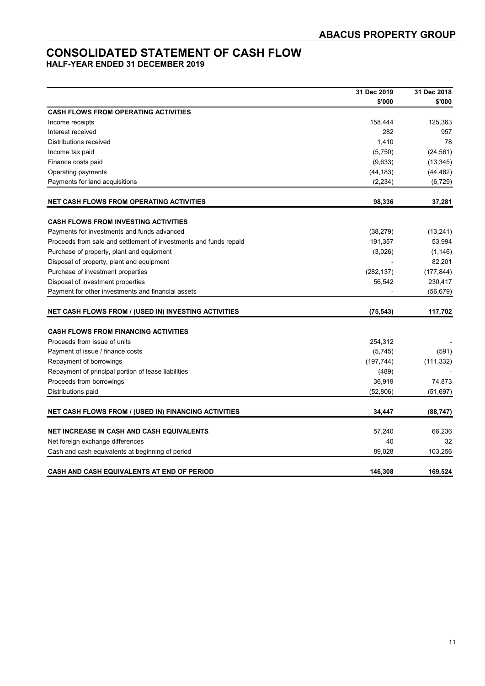### **CONSOLIDATED STATEMENT OF CASH FLOW**

**HALF-YEAR ENDED 31 DECEMBER 2019** 

|                                                                   | 31 Dec 2019 | 31 Dec 2018 |
|-------------------------------------------------------------------|-------------|-------------|
|                                                                   | \$'000      | \$'000      |
| <b>CASH FLOWS FROM OPERATING ACTIVITIES</b>                       |             |             |
| Income receipts                                                   | 158,444     | 125,363     |
| Interest received                                                 | 282         | 957         |
| Distributions received                                            | 1,410       | 78          |
| Income tax paid                                                   | (5,750)     | (24, 561)   |
| Finance costs paid                                                | (9,633)     | (13, 345)   |
| Operating payments                                                | (44, 183)   | (44,482)    |
| Payments for land acquisitions                                    | (2, 234)    | (6, 729)    |
| <b>NET CASH FLOWS FROM OPERATING ACTIVITIES</b>                   | 98,336      | 37,281      |
| <b>CASH FLOWS FROM INVESTING ACTIVITIES</b>                       |             |             |
| Payments for investments and funds advanced                       | (38, 279)   | (13,241)    |
| Proceeds from sale and settlement of investments and funds repaid | 191,357     | 53,994      |
| Purchase of property, plant and equipment                         | (3,026)     | (1, 146)    |
| Disposal of property, plant and equipment                         |             | 82,201      |
| Purchase of investment properties                                 | (282, 137)  | (177, 844)  |
| Disposal of investment properties                                 | 56,542      | 230,417     |
| Payment for other investments and financial assets                |             | (56, 679)   |
| <b>NET CASH FLOWS FROM / (USED IN) INVESTING ACTIVITIES</b>       | (75, 543)   | 117,702     |
| <b>CASH FLOWS FROM FINANCING ACTIVITIES</b>                       |             |             |
| Proceeds from issue of units                                      | 254,312     |             |
| Payment of issue / finance costs                                  | (5,745)     | (591)       |
| Repayment of borrowings                                           | (197, 744)  | (111, 332)  |
| Repayment of principal portion of lease liabilities               | (489)       |             |
| Proceeds from borrowings                                          | 36,919      | 74,873      |
| Distributions paid                                                | (52, 806)   | (51, 697)   |
| NET CASH FLOWS FROM / (USED IN) FINANCING ACTIVITIES              | 34,447      | (88, 747)   |
|                                                                   |             |             |
| <b>NET INCREASE IN CASH AND CASH EQUIVALENTS</b>                  | 57,240      | 66,236      |
| Net foreign exchange differences                                  | 40          | 32          |
| Cash and cash equivalents at beginning of period                  | 89,028      | 103,256     |
| <b>CASH AND CASH EQUIVALENTS AT END OF PERIOD</b>                 | 146,308     | 169,524     |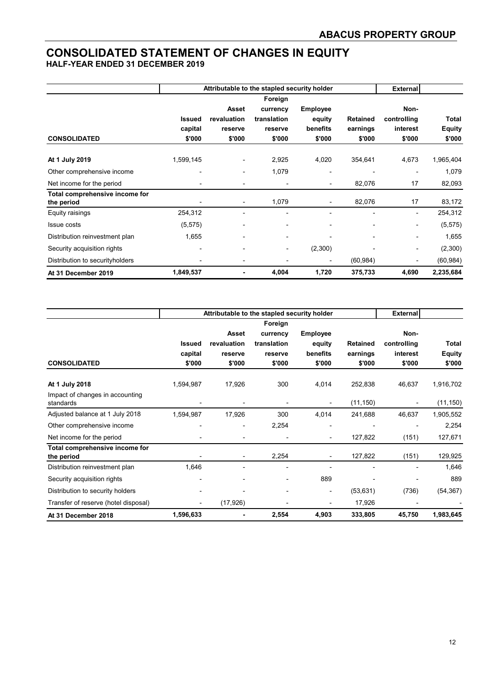### **CONSOLIDATED STATEMENT OF CHANGES IN EQUITY**

**HALF-YEAR ENDED 31 DECEMBER 2019** 

|                                 |               | Attributable to the stapled security holder |                          | <b>External</b>          |                 |                          |               |
|---------------------------------|---------------|---------------------------------------------|--------------------------|--------------------------|-----------------|--------------------------|---------------|
|                                 |               | Foreign                                     |                          |                          |                 |                          |               |
|                                 |               | Asset                                       | currency                 | <b>Employee</b>          |                 | Non-                     |               |
|                                 | <b>Issued</b> | revaluation                                 | translation              | equity                   | <b>Retained</b> | controlling              | Total         |
|                                 | capital       | reserve                                     | reserve                  | benefits                 | earnings        | interest                 | <b>Equity</b> |
| <b>CONSOLIDATED</b>             | \$'000        | \$'000                                      | \$'000                   | \$'000                   | \$'000          | \$'000                   | \$'000        |
| At 1 July 2019                  | 1,599,145     | ٠                                           | 2,925                    | 4,020                    | 354,641         | 4,673                    | 1,965,404     |
| Other comprehensive income      |               | ٠                                           | 1,079                    | $\overline{\phantom{0}}$ |                 | $\overline{\phantom{0}}$ | 1,079         |
| Net income for the period       |               | $\qquad \qquad \blacksquare$                | $\blacksquare$           | ۰                        | 82,076          | 17                       | 82,093        |
| Total comprehensive income for  |               |                                             |                          |                          |                 |                          |               |
| the period                      |               | $\overline{a}$                              | 1,079                    |                          | 82,076          | 17                       | 83,172        |
| Equity raisings                 | 254,312       | $\overline{a}$                              |                          |                          |                 | ۰                        | 254,312       |
| <b>Issue costs</b>              | (5, 575)      | ٠                                           |                          | $\blacksquare$           |                 | -                        | (5, 575)      |
| Distribution reinvestment plan  | 1,655         | ۰                                           | $\blacksquare$           | $\blacksquare$           | $\blacksquare$  | ۰                        | 1,655         |
| Security acquisition rights     |               | ۰                                           | $\overline{\phantom{a}}$ | (2,300)                  |                 | $\overline{\phantom{0}}$ | (2,300)       |
| Distribution to securityholders |               | -                                           |                          |                          | (60, 984)       | -                        | (60, 984)     |
| At 31 December 2019             | 1,849,537     | ٠                                           | 4,004                    | 1,720                    | 375,733         | 4,690                    | 2,235,684     |

|                                      |               | Attributable to the stapled security holder |             |                 |                 |                |               |
|--------------------------------------|---------------|---------------------------------------------|-------------|-----------------|-----------------|----------------|---------------|
|                                      |               |                                             | Foreign     |                 |                 |                |               |
|                                      |               | Asset                                       | currency    | <b>Employee</b> |                 | Non-           |               |
|                                      | <b>Issued</b> | revaluation                                 | translation | equity          | <b>Retained</b> | controlling    | Total         |
|                                      | capital       | reserve                                     | reserve     | benefits        | earnings        | interest       | <b>Equity</b> |
| <b>CONSOLIDATED</b>                  | \$'000        | \$'000                                      | \$'000      | \$'000          | \$'000          | \$'000         | \$'000        |
| At 1 July 2018                       | 1,594,987     | 17,926                                      | 300         | 4,014           | 252,838         | 46,637         | 1,916,702     |
| Impact of changes in accounting      |               |                                             |             |                 |                 |                |               |
| standards                            |               |                                             |             |                 | (11, 150)       | $\blacksquare$ | (11, 150)     |
| Adjusted balance at 1 July 2018      | 1,594,987     | 17,926                                      | 300         | 4,014           | 241,688         | 46,637         | 1,905,552     |
| Other comprehensive income           |               | ٠                                           | 2,254       |                 |                 |                | 2,254         |
| Net income for the period            |               |                                             |             |                 | 127,822         | (151)          | 127,671       |
| Total comprehensive income for       |               |                                             |             |                 |                 |                |               |
| the period                           |               | $\qquad \qquad \blacksquare$                | 2,254       |                 | 127,822         | (151)          | 129,925       |
| Distribution reinvestment plan       | 1,646         |                                             |             |                 |                 |                | 1,646         |
| Security acquisition rights          |               |                                             |             | 889             |                 |                | 889           |
| Distribution to security holders     |               |                                             | ٠           |                 | (53, 631)       | (736)          | (54, 367)     |
| Transfer of reserve (hotel disposal) |               | (17, 926)                                   |             |                 | 17,926          |                |               |
| At 31 December 2018                  | 1,596,633     | ۰                                           | 2,554       | 4,903           | 333,805         | 45,750         | 1,983,645     |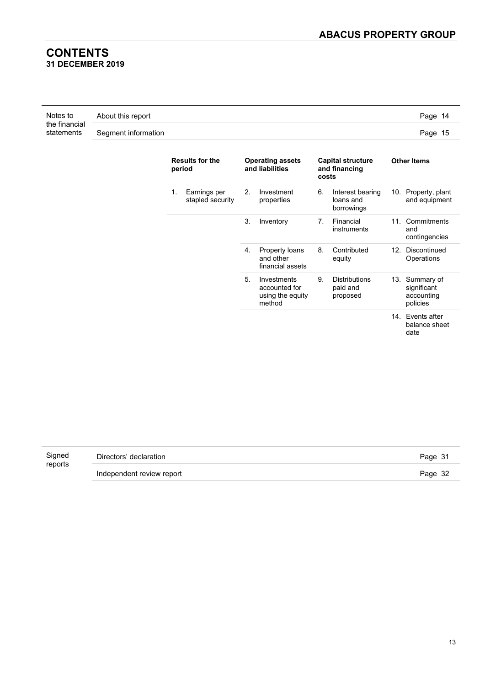#### **CONTENTS 31 DECEMBER 2019**

| Notes to                    | About this report   | Page 14 |
|-----------------------------|---------------------|---------|
| the financial<br>statements | Segment information | Page 15 |

| <b>Results for the</b><br>period       | <b>Operating assets</b><br>and liabilities                       | <b>Capital structure</b><br>and financing<br>costs | <b>Other Items</b>                                      |
|----------------------------------------|------------------------------------------------------------------|----------------------------------------------------|---------------------------------------------------------|
| 1.<br>Earnings per<br>stapled security | 2.<br>Investment<br>properties                                   | 6.<br>Interest bearing<br>loans and<br>borrowings  | 10. Property, plant<br>and equipment                    |
|                                        | 3.<br>Inventory                                                  | 7.<br>Financial<br>instruments                     | 11. Commitments<br>and<br>contingencies                 |
|                                        | 4.<br>Property loans<br>and other<br>financial assets            | 8.<br>Contributed<br>equity                        | Discontinued<br>12.<br>Operations                       |
|                                        | 5.<br>Investments<br>accounted for<br>using the equity<br>method | <b>Distributions</b><br>9.<br>paid and<br>proposed | 13. Summary of<br>significant<br>accounting<br>policies |
|                                        |                                                                  |                                                    | 14. Events after<br>balance sheet<br>date               |

| Signed  | Directors' declaration    | Page 31 |
|---------|---------------------------|---------|
| reports | Independent review report | Page 32 |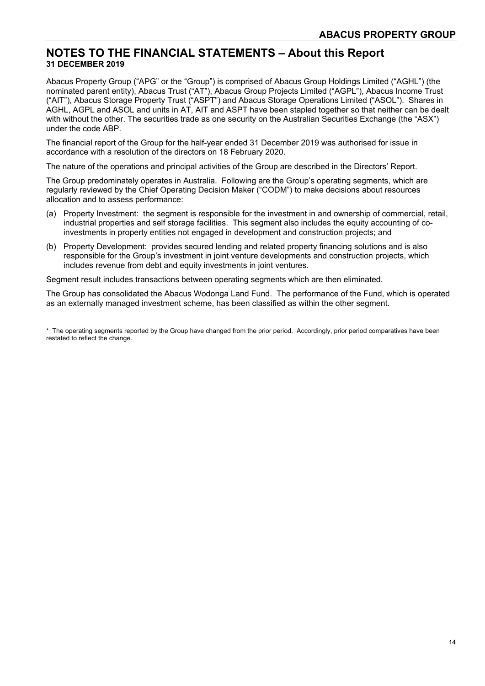#### **NOTES TO THE FINANCIAL STATEMENTS – About this Report 31 DECEMBER 2019**

Abacus Property Group ("APG" or the "Group") is comprised of Abacus Group Holdings Limited ("AGHL") (the nominated parent entity), Abacus Trust ("AT"), Abacus Group Projects Limited ("AGPL"), Abacus Income Trust ("AIT"), Abacus Storage Property Trust ("ASPT") and Abacus Storage Operations Limited ("ASOL"). Shares in AGHL, AGPL and ASOL and units in AT, AIT and ASPT have been stapled together so that neither can be dealt with without the other. The securities trade as one security on the Australian Securities Exchange (the "ASX") under the code ABP.

The financial report of the Group for the half-year ended 31 December 2019 was authorised for issue in accordance with a resolution of the directors on 18 February 2020.

The nature of the operations and principal activities of the Group are described in the Directors' Report.

The Group predominately operates in Australia. Following are the Group's operating segments, which are regularly reviewed by the Chief Operating Decision Maker ("CODM") to make decisions about resources allocation and to assess performance:

- (a) Property Investment: the segment is responsible for the investment in and ownership of commercial, retail, industrial properties and self storage facilities. This segment also includes the equity accounting of coinvestments in property entities not engaged in development and construction projects; and
- (b) Property Development: provides secured lending and related property financing solutions and is also responsible for the Group's investment in joint venture developments and construction projects, which includes revenue from debt and equity investments in joint ventures.

Segment result includes transactions between operating segments which are then eliminated.

The Group has consolidated the Abacus Wodonga Land Fund. The performance of the Fund, which is operated as an externally managed investment scheme, has been classified as within the other segment.

\* The operating segments reported by the Group have changed from the prior period. Accordingly, prior period comparatives have been restated to reflect the change.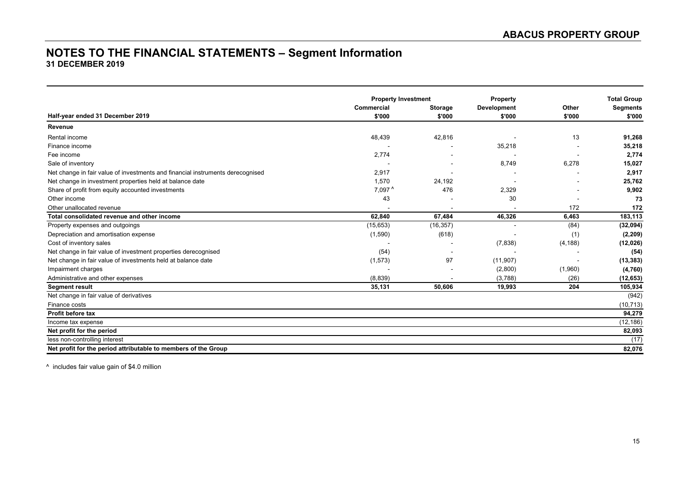#### **NOTES TO THE FINANCIAL STATEMENTS – Segment Information 31 DECEMBER 2019**

|                                                                                | <b>Property Investment</b> |                | Property       |          | <b>Total Group</b> |
|--------------------------------------------------------------------------------|----------------------------|----------------|----------------|----------|--------------------|
|                                                                                | Commercial                 | <b>Storage</b> | Development    | Other    | <b>Segments</b>    |
| Half-year ended 31 December 2019                                               | \$'000                     | \$'000         | \$'000         | \$'000   | \$'000             |
| Revenue                                                                        |                            |                |                |          |                    |
| Rental income                                                                  | 48,439                     | 42,816         |                | 13       | 91,268             |
| Finance income                                                                 |                            |                | 35,218         |          | 35,218             |
| Fee income                                                                     | 2,774                      |                |                |          | 2,774              |
| Sale of inventory                                                              |                            |                | 8,749          | 6,278    | 15,027             |
| Net change in fair value of investments and financial instruments derecognised | 2,917                      |                |                |          | 2,917              |
| Net change in investment properties held at balance date                       | 1,570                      | 24,192         |                |          | 25,762             |
| Share of profit from equity accounted investments                              | $7,097$ <sup>^</sup>       | 476            | 2,329          |          | 9,902              |
| Other income                                                                   | 43                         |                | 30             |          | 73                 |
| Other unallocated revenue                                                      |                            |                |                | 172      | 172                |
| Total consolidated revenue and other income                                    | 62.840                     | 67,484         | 46,326         | 6,463    | 183,113            |
| Property expenses and outgoings                                                | (15, 653)                  | (16, 357)      | $\blacksquare$ | (84)     | (32, 094)          |
| Depreciation and amortisation expense                                          | (1,590)                    | (618)          |                | (1)      | (2, 209)           |
| Cost of inventory sales                                                        |                            |                | (7,838)        | (4, 188) | (12,026)           |
| Net change in fair value of investment properties derecognised                 | (54)                       |                |                |          | (54)               |
| Net change in fair value of investments held at balance date                   | (1, 573)                   | 97             | (11, 907)      |          | (13, 383)          |
| Impairment charges                                                             |                            |                | (2,800)        | (1,960)  | (4,760)            |
| Administrative and other expenses                                              | (8,839)                    |                | (3,788)        | (26)     | (12, 653)          |
| <b>Segment result</b>                                                          | 35,131                     | 50,606         | 19,993         | 204      | 105,934            |
| Net change in fair value of derivatives                                        |                            |                |                |          | (942)              |
| Finance costs                                                                  |                            |                |                |          | (10, 713)          |
| Profit before tax                                                              |                            |                |                |          | 94,279             |
| Income tax expense                                                             |                            |                |                |          | (12, 186)          |
| Net profit for the period                                                      |                            |                |                |          | 82,093             |
| less non-controlling interest                                                  |                            |                |                |          | (17)               |
| Net profit for the period attributable to members of the Group                 |                            |                |                |          | 82,076             |

^ includes fair value gain of \$4.0 million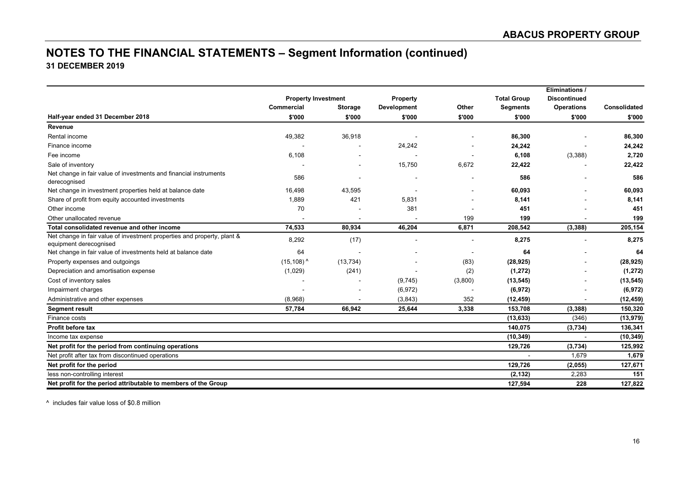### **NOTES TO THE FINANCIAL STATEMENTS – Segment Information (continued) 31 DECEMBER 2019**

|                                                                                                   |                            |                |             |         |                    | Eliminations /           |              |
|---------------------------------------------------------------------------------------------------|----------------------------|----------------|-------------|---------|--------------------|--------------------------|--------------|
|                                                                                                   | <b>Property Investment</b> |                | Property    |         | <b>Total Group</b> | <b>Discontinued</b>      |              |
|                                                                                                   | Commercial                 | <b>Storage</b> | Development | Other   | <b>Segments</b>    | <b>Operations</b>        | Consolidated |
| Half-year ended 31 December 2018                                                                  | \$'000                     | \$'000         | \$'000      | \$'000  | \$'000             | \$'000                   | \$'000       |
| Revenue                                                                                           |                            |                |             |         |                    |                          |              |
| Rental income                                                                                     | 49,382                     | 36,918         |             |         | 86,300             |                          | 86,300       |
| Finance income                                                                                    |                            |                | 24,242      |         | 24,242             |                          | 24,242       |
| Fee income                                                                                        | 6,108                      |                |             |         | 6,108              | (3,388)                  | 2,720        |
| Sale of inventory                                                                                 |                            |                | 15,750      | 6,672   | 22,422             |                          | 22,422       |
| Net change in fair value of investments and financial instruments<br>derecognised                 | 586                        |                |             |         | 586                |                          | 586          |
| Net change in investment properties held at balance date                                          | 16,498                     | 43,595         |             |         | 60,093             |                          | 60,093       |
| Share of profit from equity accounted investments                                                 | 1,889                      | 421            | 5,831       |         | 8,141              |                          | 8,141        |
| Other income                                                                                      | 70                         |                | 381         |         | 451                |                          | 451          |
| Other unallocated revenue                                                                         |                            |                |             | 199     | 199                |                          | 199          |
| Total consolidated revenue and other income                                                       | 74,533                     | 80,934         | 46,204      | 6,871   | 208,542            | (3, 388)                 | 205,154      |
| Net change in fair value of investment properties and property, plant &<br>equipment derecognised | 8,292                      | (17)           |             |         | 8,275              | $\overline{\phantom{a}}$ | 8,275        |
| Net change in fair value of investments held at balance date                                      | 64                         |                |             |         | 64                 |                          | 64           |
| Property expenses and outgoings                                                                   | $(15, 108)^{A}$            | (13, 734)      |             | (83)    | (28, 925)          |                          | (28, 925)    |
| Depreciation and amortisation expense                                                             | (1,029)                    | (241)          |             | (2)     | (1, 272)           |                          | (1, 272)     |
| Cost of inventory sales                                                                           |                            |                | (9,745)     | (3,800) | (13, 545)          |                          | (13, 545)    |
| Impairment charges                                                                                |                            |                | (6, 972)    |         | (6, 972)           |                          | (6, 972)     |
| Administrative and other expenses                                                                 | (8,968)                    |                | (3, 843)    | 352     | (12, 459)          |                          | (12, 459)    |
| <b>Segment result</b>                                                                             | 57,784                     | 66,942         | 25,644      | 3,338   | 153,708            | (3,388)                  | 150,320      |
| Finance costs                                                                                     |                            |                |             |         | (13, 633)          | (346)                    | (13, 979)    |
| Profit before tax                                                                                 |                            |                |             |         | 140,075            | (3,734)                  | 136,341      |
| Income tax expense                                                                                |                            |                |             |         | (10, 349)          |                          | (10, 349)    |
| Net profit for the period from continuing operations                                              |                            |                |             |         | 129,726            | (3,734)                  | 125,992      |
| Net profit after tax from discontinued operations                                                 |                            |                |             |         |                    | 1,679                    | 1,679        |
| Net profit for the period                                                                         |                            |                |             |         | 129,726            | (2,055)                  | 127,671      |
| less non-controlling interest                                                                     |                            |                |             |         | (2, 132)           | 2,283                    | 151          |
| Net profit for the period attributable to members of the Group                                    |                            |                |             |         | 127,594            | 228                      | 127,822      |

^ includes fair value loss of \$0.8 million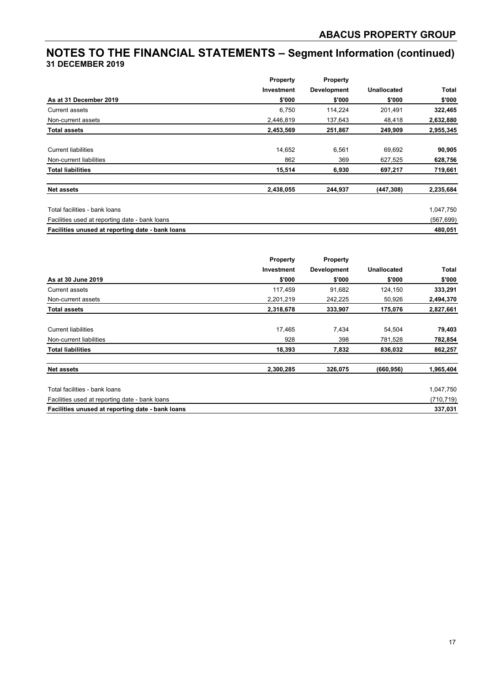### **NOTES TO THE FINANCIAL STATEMENTS – Segment Information (continued) 31 DECEMBER 2019**

|                                                  | <b>Property</b> | Property           |             |            |
|--------------------------------------------------|-----------------|--------------------|-------------|------------|
|                                                  | Investment      | <b>Development</b> | Unallocated | Total      |
| As at 31 December 2019                           | \$'000          | \$'000             | \$'000      | \$'000     |
| Current assets                                   | 6,750           | 114,224            | 201,491     | 322,465    |
| Non-current assets                               | 2,446,819       | 137,643            | 48,418      | 2,632,880  |
| <b>Total assets</b>                              | 2,453,569       | 251,867            | 249,909     | 2,955,345  |
| <b>Current liabilities</b>                       | 14,652          | 6,561              | 69,692      | 90,905     |
| Non-current liabilities                          | 862             | 369                | 627,525     | 628,756    |
| <b>Total liabilities</b>                         | 15,514          | 6,930              | 697,217     | 719,661    |
| <b>Net assets</b>                                | 2,438,055       | 244,937            | (447, 308)  | 2,235,684  |
| Total facilities - bank loans                    |                 |                    |             | 1,047,750  |
| Facilities used at reporting date - bank loans   |                 |                    |             | (567, 699) |
| Facilities unused at reporting date - bank loans |                 |                    |             | 480,051    |

|                                                  | <b>Property</b> | Property           |                    |            |
|--------------------------------------------------|-----------------|--------------------|--------------------|------------|
|                                                  | Investment      | <b>Development</b> | <b>Unallocated</b> | Total      |
| As at 30 June 2019                               | \$'000          | \$'000             | \$'000             | \$'000     |
| Current assets                                   | 117,459         | 91,682             | 124,150            | 333,291    |
| Non-current assets                               | 2,201,219       | 242,225            | 50,926             | 2,494,370  |
| <b>Total assets</b>                              | 2,318,678       | 333,907            | 175,076            | 2,827,661  |
| <b>Current liabilities</b>                       | 17,465          | 7,434              | 54,504             | 79,403     |
| Non-current liabilities                          | 928             | 398                | 781,528            | 782,854    |
| <b>Total liabilities</b>                         | 18,393          | 7,832              | 836,032            | 862,257    |
| <b>Net assets</b>                                | 2,300,285       | 326,075            | (660, 956)         | 1,965,404  |
| Total facilities - bank loans                    |                 |                    |                    | 1,047,750  |
| Facilities used at reporting date - bank loans   |                 |                    |                    | (710, 719) |
| Facilities unused at reporting date - bank loans |                 |                    |                    | 337,031    |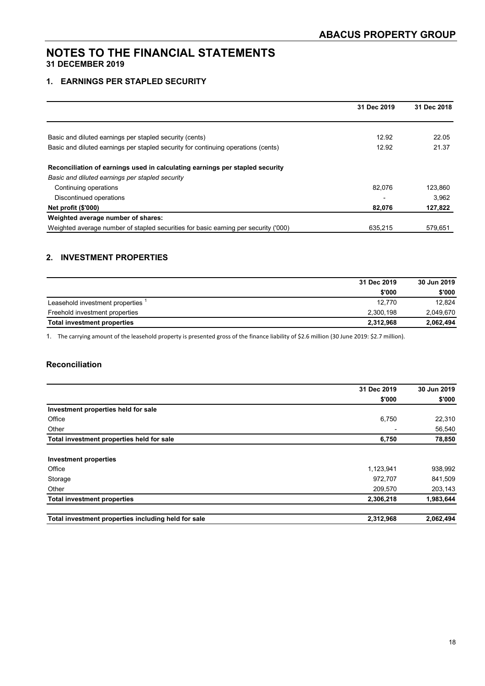#### **1. EARNINGS PER STAPLED SECURITY**

|                                                                                     | 31 Dec 2019 | 31 Dec 2018 |
|-------------------------------------------------------------------------------------|-------------|-------------|
|                                                                                     |             |             |
| Basic and diluted earnings per stapled security (cents)                             | 12.92       | 22.05       |
| Basic and diluted earnings per stapled security for continuing operations (cents)   | 12.92       | 21.37       |
| Reconciliation of earnings used in calculating earnings per stapled security        |             |             |
| Basic and diluted earnings per stapled security                                     |             |             |
| Continuing operations                                                               | 82.076      | 123,860     |
| Discontinued operations                                                             |             | 3.962       |
| Net profit (\$'000)                                                                 | 82,076      | 127,822     |
| Weighted average number of shares:                                                  |             |             |
| Weighted average number of stapled securities for basic earning per security ('000) | 635,215     | 579,651     |

#### **2. INVESTMENT PROPERTIES**

|                                    | 31 Dec 2019 | 30 Jun 2019 |
|------------------------------------|-------------|-------------|
|                                    | \$'000      | \$'000      |
| Leasehold investment properties    | 12.770      | 12.824      |
| Freehold investment properties     | 2.300.198   | 2.049.670   |
| <b>Total investment properties</b> | 2,312,968   | 2,062,494   |

1. The carrying amount of the leasehold property is presented gross of the finance liability of \$2.6 million (30 June 2019: \$2.7 million).

#### **Reconciliation**

|                                                     | 31 Dec 2019 | 30 Jun 2019 |  |
|-----------------------------------------------------|-------------|-------------|--|
|                                                     | \$'000      | \$'000      |  |
| Investment properties held for sale                 |             |             |  |
| Office                                              | 6,750       | 22,310      |  |
| Other                                               |             | 56,540      |  |
| Total investment properties held for sale           | 6,750       | 78,850      |  |
| <b>Investment properties</b>                        |             |             |  |
| Office                                              | 1,123,941   | 938,992     |  |
| Storage                                             | 972.707     | 841,509     |  |
| Other                                               | 209,570     | 203,143     |  |
| <b>Total investment properties</b>                  | 2,306,218   | 1,983,644   |  |
| Total investment properties including held for sale | 2.312.968   | 2,062,494   |  |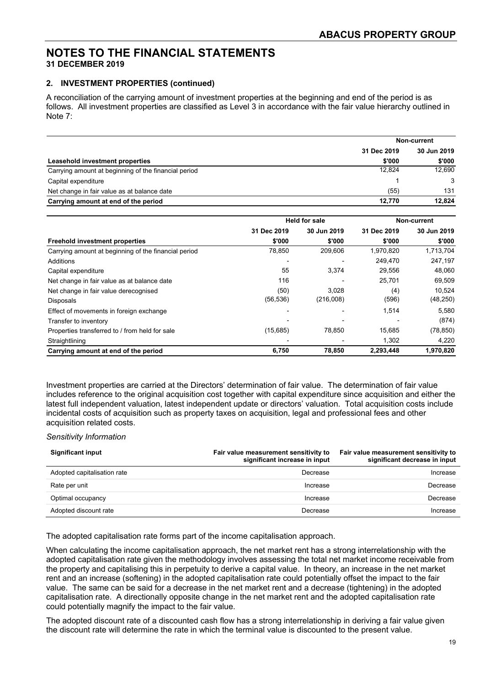#### **2. INVESTMENT PROPERTIES (continued)**

A reconciliation of the carrying amount of investment properties at the beginning and end of the period is as follows. All investment properties are classified as Level 3 in accordance with the fair value hierarchy outlined in Note 7:

|                                                      | Non-current |             |  |
|------------------------------------------------------|-------------|-------------|--|
|                                                      | 31 Dec 2019 | 30 Jun 2019 |  |
| Leasehold investment properties                      | \$'000      | \$'000      |  |
| Carrying amount at beginning of the financial period | 12.824      | 12.690      |  |
| Capital expenditure                                  |             | 3           |  |
| Net change in fair value as at balance date          | (55)        | 131         |  |
| Carrying amount at end of the period                 | 12.770      | 12.824      |  |

|                                                      | <b>Held for sale</b> |             | Non-current |             |  |
|------------------------------------------------------|----------------------|-------------|-------------|-------------|--|
|                                                      | 31 Dec 2019          | 30 Jun 2019 | 31 Dec 2019 | 30 Jun 2019 |  |
| <b>Freehold investment properties</b>                | \$'000               | \$'000      | \$'000      | \$'000      |  |
| Carrying amount at beginning of the financial period | 78,850               | 209,606     | 1,970,820   | 1,713,704   |  |
| Additions                                            |                      |             | 249,470     | 247,197     |  |
| Capital expenditure                                  | 55                   | 3,374       | 29.556      | 48.060      |  |
| Net change in fair value as at balance date          | 116                  |             | 25,701      | 69,509      |  |
| Net change in fair value derecognised                | (50)                 | 3.028       | (4)         | 10,524      |  |
| Disposals                                            | (56, 536)            | (216,008)   | (596)       | (48, 250)   |  |
| Effect of movements in foreign exchange              |                      |             | 1,514       | 5,580       |  |
| Transfer to inventory                                |                      |             |             | (874)       |  |
| Properties transferred to / from held for sale       | (15,685)             | 78,850      | 15,685      | (78, 850)   |  |
| Straightlining                                       |                      |             | 1,302       | 4,220       |  |
| Carrying amount at end of the period                 | 6,750                | 78,850      | 2,293,448   | 1,970,820   |  |

Investment properties are carried at the Directors' determination of fair value. The determination of fair value includes reference to the original acquisition cost together with capital expenditure since acquisition and either the latest full independent valuation, latest independent update or directors' valuation. Total acquisition costs include incidental costs of acquisition such as property taxes on acquisition, legal and professional fees and other acquisition related costs.

#### *Sensitivity Information*

| <b>Significant input</b>    | Fair value measurement sensitivity to<br>significant increase in input | Fair value measurement sensitivity to<br>significant decrease in input |
|-----------------------------|------------------------------------------------------------------------|------------------------------------------------------------------------|
| Adopted capitalisation rate | Decrease                                                               | Increase                                                               |
| Rate per unit               | Increase                                                               | Decrease                                                               |
| Optimal occupancy           | Increase                                                               | Decrease                                                               |
| Adopted discount rate       | Decrease                                                               | Increase                                                               |

The adopted capitalisation rate forms part of the income capitalisation approach.

When calculating the income capitalisation approach, the net market rent has a strong interrelationship with the adopted capitalisation rate given the methodology involves assessing the total net market income receivable from the property and capitalising this in perpetuity to derive a capital value. In theory, an increase in the net market rent and an increase (softening) in the adopted capitalisation rate could potentially offset the impact to the fair value. The same can be said for a decrease in the net market rent and a decrease (tightening) in the adopted capitalisation rate. A directionally opposite change in the net market rent and the adopted capitalisation rate could potentially magnify the impact to the fair value.

The adopted discount rate of a discounted cash flow has a strong interrelationship in deriving a fair value given the discount rate will determine the rate in which the terminal value is discounted to the present value.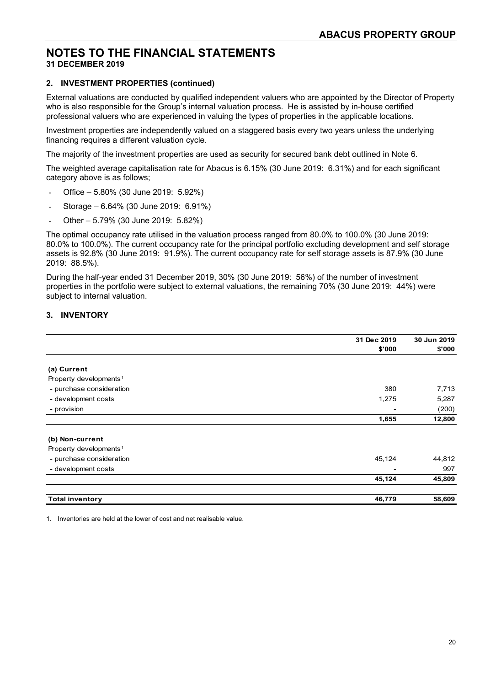#### **2. INVESTMENT PROPERTIES (continued)**

External valuations are conducted by qualified independent valuers who are appointed by the Director of Property who is also responsible for the Group's internal valuation process. He is assisted by in-house certified professional valuers who are experienced in valuing the types of properties in the applicable locations.

Investment properties are independently valued on a staggered basis every two years unless the underlying financing requires a different valuation cycle.

The majority of the investment properties are used as security for secured bank debt outlined in Note 6.

The weighted average capitalisation rate for Abacus is 6.15% (30 June 2019: 6.31%) and for each significant category above is as follows;

- Office 5.80% (30 June 2019: 5.92%)
- Storage 6.64% (30 June 2019: 6.91%)
- Other 5.79% (30 June 2019: 5.82%)

The optimal occupancy rate utilised in the valuation process ranged from 80.0% to 100.0% (30 June 2019: 80.0% to 100.0%). The current occupancy rate for the principal portfolio excluding development and self storage assets is 92.8% (30 June 2019: 91.9%). The current occupancy rate for self storage assets is 87.9% (30 June 2019: 88.5%).

During the half-year ended 31 December 2019, 30% (30 June 2019: 56%) of the number of investment properties in the portfolio were subject to external valuations, the remaining 70% (30 June 2019: 44%) were subject to internal valuation.

#### **3. INVENTORY**

|                                    | 31 Dec 2019     | 30 Jun 2019 |
|------------------------------------|-----------------|-------------|
|                                    | \$'000          | \$'000      |
|                                    |                 |             |
| (a) Current                        |                 |             |
| Property developments <sup>1</sup> |                 |             |
| - purchase consideration           | 380             | 7,713       |
| - development costs                | 1,275           | 5,287       |
| - provision                        | $\qquad \qquad$ | (200)       |
|                                    | 1,655           | 12,800      |
| (b) Non-current                    |                 |             |
| Property developments <sup>1</sup> |                 |             |
| - purchase consideration           | 45,124          | 44,812      |
| - development costs                | $\qquad \qquad$ | 997         |
|                                    | 45,124          | 45,809      |
| <b>Total inventory</b>             | 46,779          | 58,609      |

1. Inventories are held at the lower of cost and net realisable value.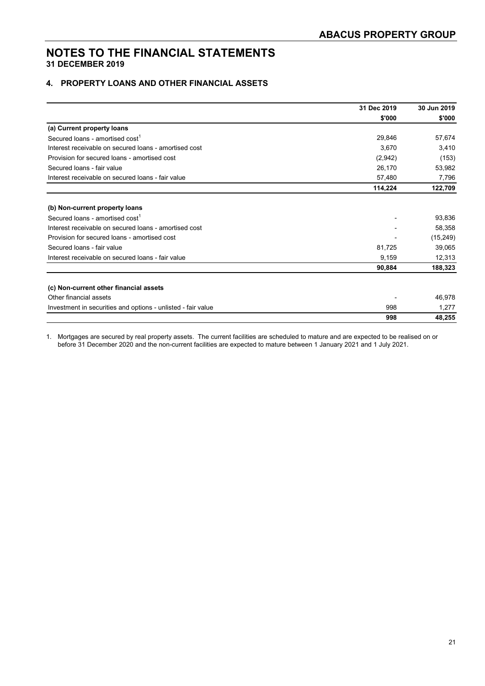#### **4. PROPERTY LOANS AND OTHER FINANCIAL ASSETS**

|                                                              | 31 Dec 2019 | 30 Jun 2019 |  |
|--------------------------------------------------------------|-------------|-------------|--|
|                                                              | \$'000      | \$'000      |  |
| (a) Current property loans                                   |             |             |  |
| Secured loans - amortised cost <sup>1</sup>                  | 29,846      | 57,674      |  |
| Interest receivable on secured loans - amortised cost        | 3,670       | 3,410       |  |
| Provision for secured loans - amortised cost                 | (2,942)     | (153)       |  |
| Secured Ioans - fair value                                   | 26,170      | 53,982      |  |
| Interest receivable on secured loans - fair value            | 57,480      | 7,796       |  |
|                                                              | 114,224     | 122,709     |  |
| (b) Non-current property loans                               |             |             |  |
| Secured loans - amortised cost <sup>1</sup>                  |             | 93,836      |  |
| Interest receivable on secured loans - amortised cost        |             | 58,358      |  |
| Provision for secured loans - amortised cost                 |             | (15, 249)   |  |
| Secured Ioans - fair value                                   | 81,725      | 39,065      |  |
| Interest receivable on secured loans - fair value            | 9,159       | 12,313      |  |
|                                                              | 90,884      | 188,323     |  |
| (c) Non-current other financial assets                       |             |             |  |
| Other financial assets                                       |             | 46,978      |  |
| Investment in securities and options - unlisted - fair value | 998         | 1,277       |  |
|                                                              | 998         | 48,255      |  |

1. Mortgages are secured by real property assets. The current facilities are scheduled to mature and are expected to be realised on or before 31 December 2020 and the non-current facilities are expected to mature between 1 January 2021 and 1 July 2021.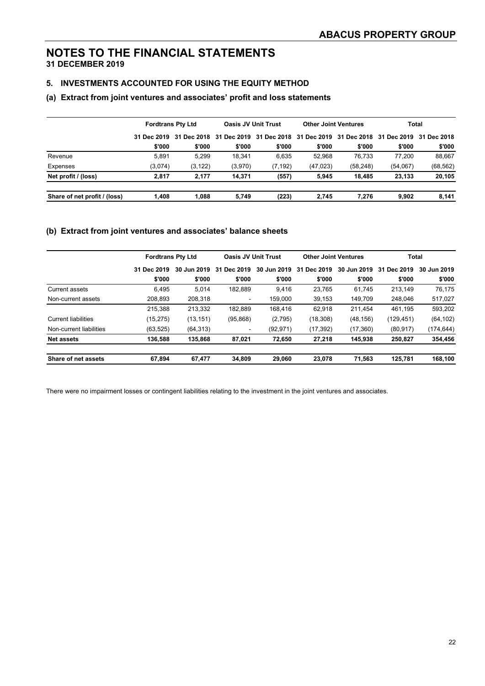#### **5. INVESTMENTS ACCOUNTED FOR USING THE EQUITY METHOD**

#### **(a) Extract from joint ventures and associates' profit and loss statements**

|                              | <b>Fordtrans Pty Ltd</b> |                         | <b>Oasis JV Unit Trust</b> |                                                 | <b>Other Joint Ventures</b> |           | Total       |             |
|------------------------------|--------------------------|-------------------------|----------------------------|-------------------------------------------------|-----------------------------|-----------|-------------|-------------|
|                              |                          | 31 Dec 2019 31 Dec 2018 |                            | 31 Dec 2019 31 Dec 2018 31 Dec 2019 31 Dec 2018 |                             |           | 31 Dec 2019 | 31 Dec 2018 |
|                              | \$'000                   | \$'000                  | \$'000                     | \$'000                                          | \$'000                      | \$'000    | \$'000      | \$'000      |
| Revenue                      | 5.891                    | 5.299                   | 18.341                     | 6.635                                           | 52.968                      | 76.733    | 77.200      | 88,667      |
| Expenses                     | (3,074)                  | (3, 122)                | (3,970)                    | (7, 192)                                        | (47, 023)                   | (58, 248) | (54,067)    | (68, 562)   |
| Net profit / (loss)          | 2.817                    | 2.177                   | 14.371                     | (557)                                           | 5.945                       | 18.485    | 23.133      | 20,105      |
| Share of net profit / (loss) | 1.408                    | 1.088                   | 5.749                      | (223)                                           | 2.745                       | 7.276     | 9.902       | 8,141       |

#### **(b) Extract from joint ventures and associates' balance sheets**

|                            | <b>Fordtrans Pty Ltd</b> |             | <b>Oasis JV Unit Trust</b> |             | <b>Other Joint Ventures</b> |             | <b>Total</b> |             |
|----------------------------|--------------------------|-------------|----------------------------|-------------|-----------------------------|-------------|--------------|-------------|
|                            | 31 Dec 2019              | 30 Jun 2019 | Dec 2019<br>31             | 30 Jun 2019 | 31<br>Dec 2019              | 30 Jun 2019 | 31 Dec 2019  | 30 Jun 2019 |
|                            | \$'000                   | \$'000      | \$'000                     | \$'000      | \$'000                      | \$'000      | \$'000       | \$'000      |
| Current assets             | 6,495                    | 5.014       | 182.889                    | 9,416       | 23,765                      | 61.745      | 213.149      | 76,175      |
| Non-current assets         | 208,893                  | 208,318     | $\blacksquare$             | 159,000     | 39,153                      | 149.709     | 248.046      | 517,027     |
|                            | 215,388                  | 213,332     | 182.889                    | 168.416     | 62,918                      | 211.454     | 461.195      | 593,202     |
| <b>Current liabilities</b> | (15, 275)                | (13, 151)   | (95, 868)                  | (2,795)     | (18, 308)                   | (48, 156)   | (129,451)    | (64, 102)   |
| Non-current liabilities    | (63, 525)                | (64, 313)   |                            | (92, 971)   | (17, 392)                   | (17,360)    | (80, 917)    | (174,644)   |
| Net assets                 | 136,588                  | 135,868     | 87.021                     | 72.650      | 27,218                      | 145.938     | 250.827      | 354,456     |
| Share of net assets        | 67,894                   | 67,477      | 34,809                     | 29,060      | 23,078                      | 71,563      | 125.781      | 168,100     |

There were no impairment losses or contingent liabilities relating to the investment in the joint ventures and associates.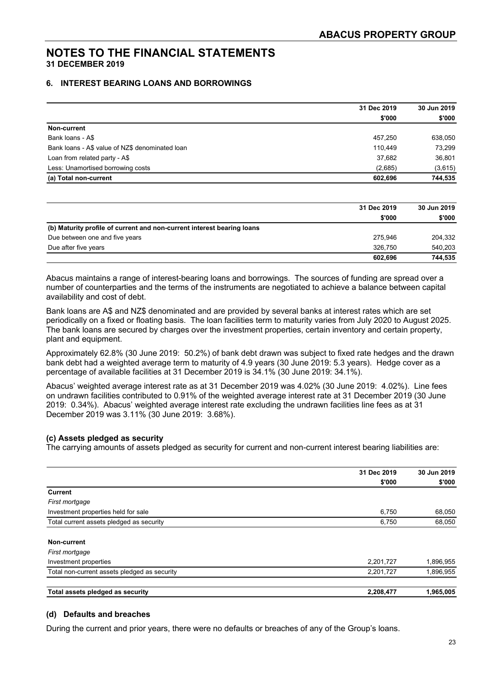#### **6. INTEREST BEARING LOANS AND BORROWINGS**

|                                                 | 31 Dec 2019 | 30 Jun 2019 |  |
|-------------------------------------------------|-------------|-------------|--|
|                                                 | \$'000      | \$'000      |  |
| Non-current                                     |             |             |  |
| Bank loans - A\$                                | 457,250     | 638,050     |  |
| Bank loans - A\$ value of NZ\$ denominated loan | 110.449     | 73.299      |  |
| Loan from related party - A\$                   | 37,682      | 36,801      |  |
| Less: Unamortised borrowing costs               | (2,685)     | (3,615)     |  |
| (a) Total non-current                           | 602.696     | 744,535     |  |

|                                                                        | 31 Dec 2019 | 30 Jun 2019 |
|------------------------------------------------------------------------|-------------|-------------|
|                                                                        | \$'000      | \$'000      |
| (b) Maturity profile of current and non-current interest bearing loans |             |             |
| Due between one and five years                                         | 275.946     | 204,332     |
| Due after five years                                                   | 326.750     | 540.203     |
|                                                                        | 602.696     | 744,535     |

Abacus maintains a range of interest-bearing loans and borrowings. The sources of funding are spread over a number of counterparties and the terms of the instruments are negotiated to achieve a balance between capital availability and cost of debt.

Bank loans are A\$ and NZ\$ denominated and are provided by several banks at interest rates which are set periodically on a fixed or floating basis. The loan facilities term to maturity varies from July 2020 to August 2025. The bank loans are secured by charges over the investment properties, certain inventory and certain property, plant and equipment.

Approximately 62.8% (30 June 2019: 50.2%) of bank debt drawn was subject to fixed rate hedges and the drawn bank debt had a weighted average term to maturity of 4.9 years (30 June 2019: 5.3 years). Hedge cover as a percentage of available facilities at 31 December 2019 is 34.1% (30 June 2019: 34.1%).

Abacus' weighted average interest rate as at 31 December 2019 was 4.02% (30 June 2019: 4.02%). Line fees on undrawn facilities contributed to 0.91% of the weighted average interest rate at 31 December 2019 (30 June 2019: 0.34%). Abacus' weighted average interest rate excluding the undrawn facilities line fees as at 31 December 2019 was 3.11% (30 June 2019: 3.68%).

#### **(c) Assets pledged as security**

The carrying amounts of assets pledged as security for current and non-current interest bearing liabilities are:

|                                              | 31 Dec 2019 | 30 Jun 2019 |
|----------------------------------------------|-------------|-------------|
|                                              | \$'000      | \$'000      |
| <b>Current</b>                               |             |             |
| First mortgage                               |             |             |
| Investment properties held for sale          | 6,750       | 68,050      |
| Total current assets pledged as security     | 6,750       | 68,050      |
| Non-current                                  |             |             |
| First mortgage                               |             |             |
| Investment properties                        | 2,201,727   | 1,896,955   |
| Total non-current assets pledged as security | 2,201,727   | 1,896,955   |
| Total assets pledged as security             | 2,208,477   | 1,965,005   |

#### **(d) Defaults and breaches**

During the current and prior years, there were no defaults or breaches of any of the Group's loans.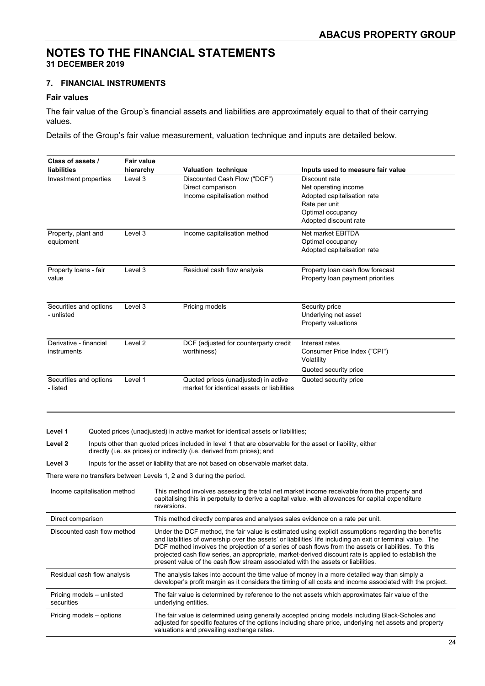#### **7. FINANCIAL INSTRUMENTS**

#### **Fair values**

The fair value of the Group's financial assets and liabilities are approximately equal to that of their carrying values.

Details of the Group's fair value measurement, valuation technique and inputs are detailed below.

| Class of assets /      | <b>Fair value</b>  |                                            |                                   |
|------------------------|--------------------|--------------------------------------------|-----------------------------------|
| liabilities            | hierarchy          | <b>Valuation technique</b>                 | Inputs used to measure fair value |
| Investment properties  | Level 3            | Discounted Cash Flow ("DCF")               | Discount rate                     |
|                        |                    | Direct comparison                          | Net operating income              |
|                        |                    | Income capitalisation method               | Adopted capitalisation rate       |
|                        |                    |                                            | Rate per unit                     |
|                        |                    |                                            | Optimal occupancy                 |
|                        |                    |                                            | Adopted discount rate             |
| Property, plant and    | Level 3            | Income capitalisation method               | Net market EBITDA                 |
| equipment              |                    |                                            | Optimal occupancy                 |
|                        |                    |                                            | Adopted capitalisation rate       |
| Property loans - fair  | Level 3            | Residual cash flow analysis                | Property loan cash flow forecast  |
| value                  |                    |                                            | Property loan payment priorities  |
|                        |                    |                                            |                                   |
|                        |                    |                                            |                                   |
| Securities and options | Level 3            | Pricing models                             | Security price                    |
| - unlisted             |                    |                                            | Underlying net asset              |
|                        |                    |                                            | Property valuations               |
|                        |                    |                                            |                                   |
| Derivative - financial | Level <sub>2</sub> | DCF (adjusted for counterparty credit      | Interest rates                    |
| instruments            |                    | worthiness)                                | Consumer Price Index ("CPI")      |
|                        |                    |                                            | Volatility                        |
|                        |                    |                                            | Quoted security price             |
| Securities and options | Level 1            | Quoted prices (unadjusted) in active       | Quoted security price             |
| - listed               |                    | market for identical assets or liabilities |                                   |
|                        |                    |                                            |                                   |

Level 1 **Quoted prices (unadjusted) in active market for identical assets or liabilities;** 

**Level 2** Inputs other than quoted prices included in level 1 that are observable for the asset or liability, either directly (i.e. as prices) or indirectly (i.e. derived from prices); and

Level 3 **Inputs for the asset or liability that are not based on observable market data.** 

There were no transfers between Levels 1, 2 and 3 during the period.

| Income capitalisation method            | This method involves assessing the total net market income receivable from the property and<br>capitalising this in perpetuity to derive a capital value, with allowances for capital expenditure<br>reversions.                                                                                                                                                                                                                                                                                                       |
|-----------------------------------------|------------------------------------------------------------------------------------------------------------------------------------------------------------------------------------------------------------------------------------------------------------------------------------------------------------------------------------------------------------------------------------------------------------------------------------------------------------------------------------------------------------------------|
| Direct comparison                       | This method directly compares and analyses sales evidence on a rate per unit.                                                                                                                                                                                                                                                                                                                                                                                                                                          |
| Discounted cash flow method             | Under the DCF method, the fair value is estimated using explicit assumptions regarding the benefits<br>and liabilities of ownership over the assets' or liabilities' life including an exit or terminal value. The<br>DCF method involves the projection of a series of cash flows from the assets or liabilities. To this<br>projected cash flow series, an appropriate, market-derived discount rate is applied to establish the<br>present value of the cash flow stream associated with the assets or liabilities. |
| Residual cash flow analysis             | The analysis takes into account the time value of money in a more detailed way than simply a<br>developer's profit margin as it considers the timing of all costs and income associated with the project.                                                                                                                                                                                                                                                                                                              |
| Pricing models - unlisted<br>securities | The fair value is determined by reference to the net assets which approximates fair value of the<br>underlying entities.                                                                                                                                                                                                                                                                                                                                                                                               |
| Pricing models - options                | The fair value is determined using generally accepted pricing models including Black-Scholes and<br>adjusted for specific features of the options including share price, underlying net assets and property<br>valuations and prevailing exchange rates.                                                                                                                                                                                                                                                               |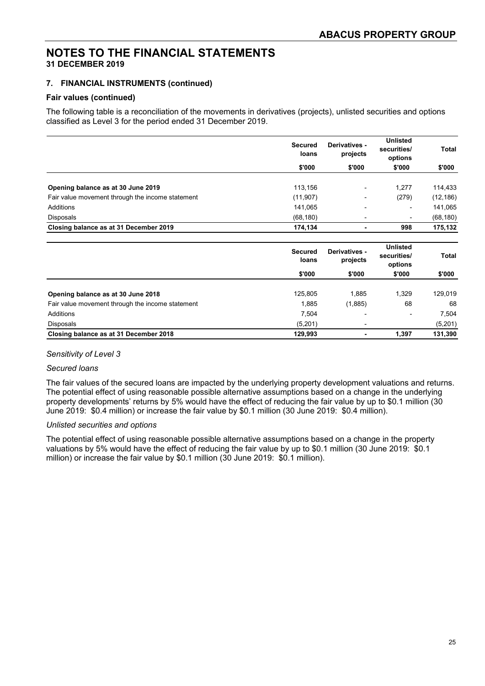#### **7. FINANCIAL INSTRUMENTS (continued)**

#### **Fair values (continued)**

The following table is a reconciliation of the movements in derivatives (projects), unlisted securities and options classified as Level 3 for the period ended 31 December 2019.

|                                                  | <b>Secured</b><br>loans | Derivatives -<br>projects | <b>Unlisted</b><br>securities/<br>options | Total        |
|--------------------------------------------------|-------------------------|---------------------------|-------------------------------------------|--------------|
|                                                  | \$'000                  | \$'000                    | \$'000                                    | \$'000       |
|                                                  |                         |                           |                                           |              |
| Opening balance as at 30 June 2019               | 113,156                 |                           | 1,277                                     | 114,433      |
| Fair value movement through the income statement | (11, 907)               |                           | (279)                                     | (12, 186)    |
| Additions                                        | 141,065                 |                           |                                           | 141,065      |
| <b>Disposals</b>                                 | (68, 180)               |                           |                                           | (68, 180)    |
| Closing balance as at 31 December 2019           | 174,134                 | ٠                         | 998                                       | 175,132      |
|                                                  | <b>Secured</b><br>loans | Derivatives -<br>projects | <b>Unlisted</b><br>securities/<br>options | <b>Total</b> |
|                                                  | \$'000                  | \$'000                    | \$'000                                    | \$'000       |
| Opening balance as at 30 June 2018               | 125,805                 | 1,885                     | 1,329                                     | 129,019      |
| Fair value movement through the income statement | 1,885                   | (1,885)                   | 68                                        | 68           |
| Additions                                        | 7,504                   |                           |                                           | 7,504        |
| <b>Disposals</b>                                 | (5,201)                 |                           |                                           | (5,201)      |
| Closing balance as at 31 December 2018           | 129,993                 |                           | 1,397                                     | 131,390      |

#### *Sensitivity of Level 3*

#### *Secured loans*

The fair values of the secured loans are impacted by the underlying property development valuations and returns. The potential effect of using reasonable possible alternative assumptions based on a change in the underlying property developments' returns by 5% would have the effect of reducing the fair value by up to \$0.1 million (30 June 2019: \$0.4 million) or increase the fair value by \$0.1 million (30 June 2019: \$0.4 million).

#### *Unlisted securities and options*

The potential effect of using reasonable possible alternative assumptions based on a change in the property valuations by 5% would have the effect of reducing the fair value by up to \$0.1 million (30 June 2019: \$0.1 million) or increase the fair value by \$0.1 million (30 June 2019: \$0.1 million).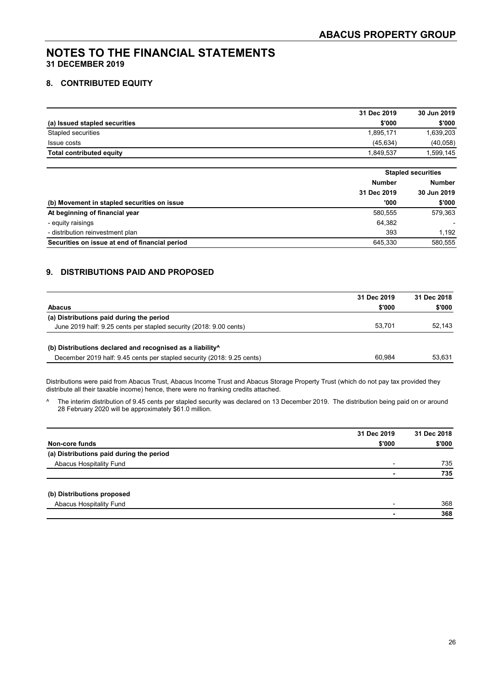#### **8. CONTRIBUTED EQUITY**

|                                 | 31 Dec 2019 | 30 Jun 2019 |
|---------------------------------|-------------|-------------|
| (a) Issued stapled securities   | \$'000      | \$'000      |
| Stapled securities              | 1.895.171   | 1,639,203   |
| Issue costs                     | (45.634)    | (40, 058)   |
| <b>Total contributed equity</b> | 1.849.537   | .599,145    |

|                                                |               | <b>Stapled securities</b> |  |
|------------------------------------------------|---------------|---------------------------|--|
|                                                | <b>Number</b> | <b>Number</b>             |  |
|                                                | 31 Dec 2019   | 30 Jun 2019               |  |
| (b) Movement in stapled securities on issue    | '000          | \$'000                    |  |
| At beginning of financial year                 | 580.555       | 579,363                   |  |
| - equity raisings                              | 64,382        |                           |  |
| - distribution reinvestment plan               | 393           | 1.192                     |  |
| Securities on issue at end of financial period | 645.330       | 580.555                   |  |

#### **9. DISTRIBUTIONS PAID AND PROPOSED**

|                                                                        | 31 Dec 2019 | 31 Dec 2018 |
|------------------------------------------------------------------------|-------------|-------------|
| <b>Abacus</b>                                                          | \$'000      | \$'000      |
| (a) Distributions paid during the period                               |             |             |
| June 2019 half: 9.25 cents per stapled security (2018: 9.00 cents)     | 53.701      | 52.143      |
|                                                                        |             |             |
| (b) Distributions declared and recognised as a liability <sup>^</sup>  |             |             |
| December 2019 half: 9.45 cents per stapled security (2018: 9.25 cents) | 60.984      | 53.631      |

Distributions were paid from Abacus Trust, Abacus Income Trust and Abacus Storage Property Trust (which do not pay tax provided they distribute all their taxable income) hence, there were no franking credits attached.

^ The interim distribution of 9.45 cents per stapled security was declared on 13 December 2019. The distribution being paid on or around 28 February 2020 will be approximately \$61.0 million.

|                                          | 31 Dec 2019              | 31 Dec 2018 |
|------------------------------------------|--------------------------|-------------|
| Non-core funds                           | \$'000                   | \$'000      |
| (a) Distributions paid during the period |                          |             |
| Abacus Hospitality Fund                  | $\overline{\phantom{0}}$ | 735         |
|                                          |                          | 735         |
| (b) Distributions proposed               |                          |             |
| Abacus Hospitality Fund                  |                          | 368         |
|                                          |                          | 368         |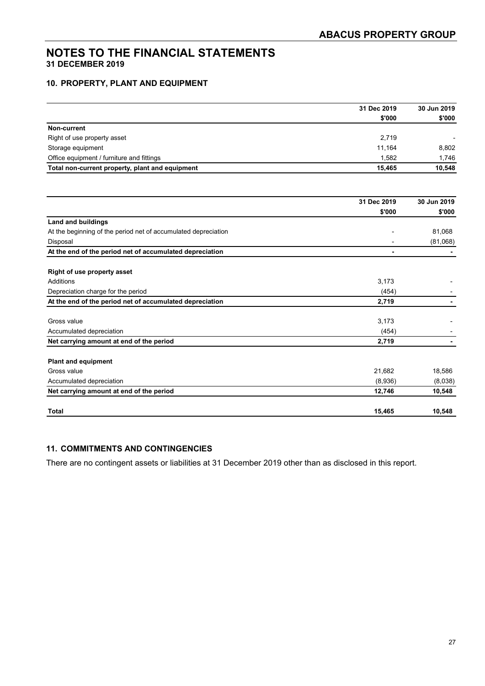#### **10. PROPERTY, PLANT AND EQUIPMENT**

|                                                                | 31 Dec 2019 | 30 Jun 2019 |
|----------------------------------------------------------------|-------------|-------------|
|                                                                | \$'000      | \$'000      |
| Non-current                                                    |             |             |
| Right of use property asset                                    | 2,719       |             |
| Storage equipment                                              | 11,164      | 8,802       |
| Office equipment / furniture and fittings                      | 1,582       | 1,746       |
| Total non-current property, plant and equipment                | 15,465      | 10,548      |
|                                                                |             |             |
|                                                                | 31 Dec 2019 | 30 Jun 2019 |
|                                                                | \$'000      | \$'000      |
| <b>Land and buildings</b>                                      |             |             |
| At the beginning of the period net of accumulated depreciation |             | 81,068      |
| Disposal                                                       | ٠           | (81,068)    |
| At the end of the period net of accumulated depreciation       |             |             |
|                                                                |             |             |
| <b>Right of use property asset</b>                             |             |             |
| <b>Additions</b>                                               | 3,173       |             |
| Depreciation charge for the period                             | (454)       |             |
| At the end of the period net of accumulated depreciation       | 2,719       |             |
| Gross value                                                    | 3,173       |             |
| Accumulated depreciation                                       | (454)       |             |
| Net carrying amount at end of the period                       | 2,719       |             |
|                                                                |             |             |
| <b>Plant and equipment</b>                                     |             |             |
| Gross value                                                    | 21,682      | 18,586      |
| Accumulated depreciation                                       | (8,936)     | (8,038)     |
| Net carrying amount at end of the period                       | 12,746      | 10,548      |
| <b>Total</b>                                                   | 15,465      | 10,548      |

#### **11. COMMITMENTS AND CONTINGENCIES**

There are no contingent assets or liabilities at 31 December 2019 other than as disclosed in this report.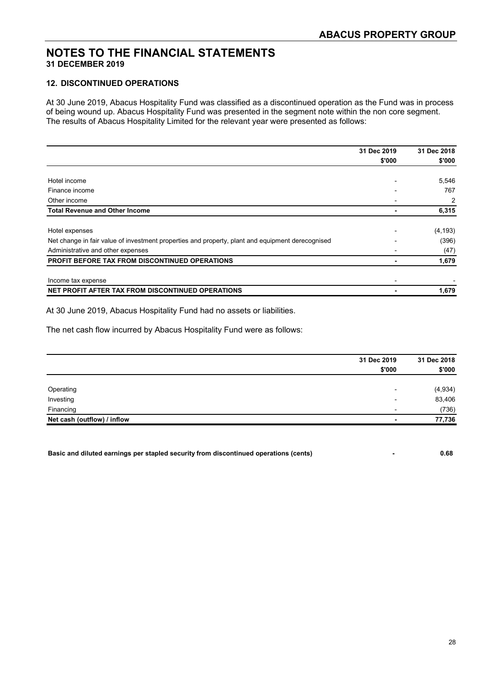#### **12. DISCONTINUED OPERATIONS**

At 30 June 2019, Abacus Hospitality Fund was classified as a discontinued operation as the Fund was in process of being wound up. Abacus Hospitality Fund was presented in the segment note within the non core segment. The results of Abacus Hospitality Limited for the relevant year were presented as follows:

|                                                                                                  | 31 Dec 2019              | 31 Dec 2018 |
|--------------------------------------------------------------------------------------------------|--------------------------|-------------|
|                                                                                                  | \$'000                   | \$'000      |
|                                                                                                  |                          |             |
| Hotel income                                                                                     |                          | 5,546       |
| Finance income                                                                                   |                          | 767         |
| Other income                                                                                     |                          | 2           |
| <b>Total Revenue and Other Income</b>                                                            |                          | 6,315       |
| Hotel expenses                                                                                   |                          | (4, 193)    |
| Net change in fair value of investment properties and property, plant and equipment derecognised |                          | (396)       |
| Administrative and other expenses                                                                |                          | (47)        |
| <b>PROFIT BEFORE TAX FROM DISCONTINUED OPERATIONS</b>                                            |                          | 1,679       |
| Income tax expense                                                                               | $\overline{\phantom{0}}$ |             |
| NET PROFIT AFTER TAX FROM DISCONTINUED OPERATIONS                                                |                          | 1,679       |

At 30 June 2019, Abacus Hospitality Fund had no assets or liabilities.

The net cash flow incurred by Abacus Hospitality Fund were as follows:

|                             | 31 Dec 2019              | 31 Dec 2018 |
|-----------------------------|--------------------------|-------------|
|                             | \$'000                   | \$'000      |
|                             |                          |             |
| Operating                   | $\overline{\phantom{0}}$ | (4,934)     |
| Investing                   | $\overline{\phantom{0}}$ | 83,406      |
| Financing                   | $\overline{\phantom{0}}$ | (736)       |
| Net cash (outflow) / inflow | ۰                        | 77,736      |

**Basic and diluted earnings per stapled security from discontinued operations (cents) - 0.68**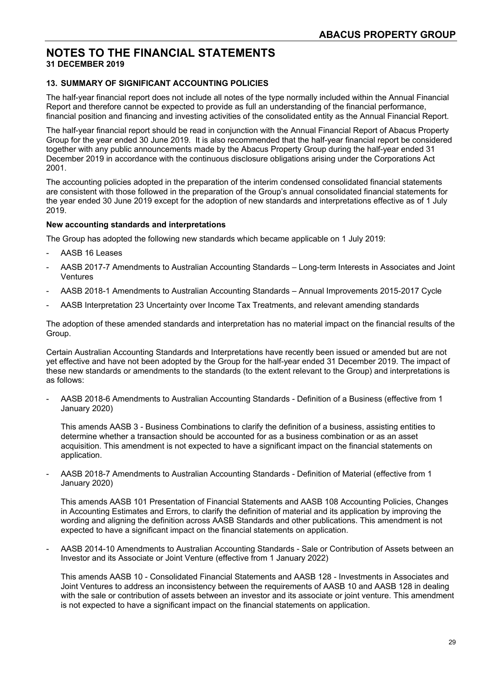#### **13. SUMMARY OF SIGNIFICANT ACCOUNTING POLICIES**

The half-year financial report does not include all notes of the type normally included within the Annual Financial Report and therefore cannot be expected to provide as full an understanding of the financial performance, financial position and financing and investing activities of the consolidated entity as the Annual Financial Report.

The half-year financial report should be read in conjunction with the Annual Financial Report of Abacus Property Group for the year ended 30 June 2019. It is also recommended that the half-year financial report be considered together with any public announcements made by the Abacus Property Group during the half-year ended 31 December 2019 in accordance with the continuous disclosure obligations arising under the Corporations Act 2001.

The accounting policies adopted in the preparation of the interim condensed consolidated financial statements are consistent with those followed in the preparation of the Group's annual consolidated financial statements for the year ended 30 June 2019 except for the adoption of new standards and interpretations effective as of 1 July 2019.

#### **New accounting standards and interpretations**

The Group has adopted the following new standards which became applicable on 1 July 2019:

- AASB 16 Leases
- AASB 2017-7 Amendments to Australian Accounting Standards Long-term Interests in Associates and Joint Ventures
- AASB 2018-1 Amendments to Australian Accounting Standards Annual Improvements 2015-2017 Cycle
- AASB Interpretation 23 Uncertainty over Income Tax Treatments, and relevant amending standards

The adoption of these amended standards and interpretation has no material impact on the financial results of the Group.

Certain Australian Accounting Standards and Interpretations have recently been issued or amended but are not yet effective and have not been adopted by the Group for the half-year ended 31 December 2019. The impact of these new standards or amendments to the standards (to the extent relevant to the Group) and interpretations is as follows:

- AASB 2018-6 Amendments to Australian Accounting Standards - Definition of a Business (effective from 1 January 2020)

This amends AASB 3 - Business Combinations to clarify the definition of a business, assisting entities to determine whether a transaction should be accounted for as a business combination or as an asset acquisition. This amendment is not expected to have a significant impact on the financial statements on application.

- AASB 2018-7 Amendments to Australian Accounting Standards - Definition of Material (effective from 1 January 2020)

This amends AASB 101 Presentation of Financial Statements and AASB 108 Accounting Policies, Changes in Accounting Estimates and Errors, to clarify the definition of material and its application by improving the wording and aligning the definition across AASB Standards and other publications. This amendment is not expected to have a significant impact on the financial statements on application.

- AASB 2014-10 Amendments to Australian Accounting Standards - Sale or Contribution of Assets between an Investor and its Associate or Joint Venture (effective from 1 January 2022)

This amends AASB 10 - Consolidated Financial Statements and AASB 128 - Investments in Associates and Joint Ventures to address an inconsistency between the requirements of AASB 10 and AASB 128 in dealing with the sale or contribution of assets between an investor and its associate or joint venture. This amendment is not expected to have a significant impact on the financial statements on application.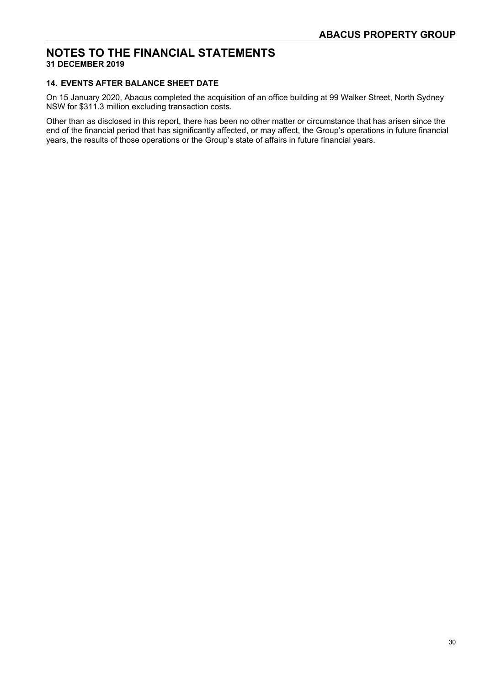#### **14. EVENTS AFTER BALANCE SHEET DATE**

On 15 January 2020, Abacus completed the acquisition of an office building at 99 Walker Street, North Sydney NSW for \$311.3 million excluding transaction costs.

Other than as disclosed in this report, there has been no other matter or circumstance that has arisen since the end of the financial period that has significantly affected, or may affect, the Group's operations in future financial years, the results of those operations or the Group's state of affairs in future financial years.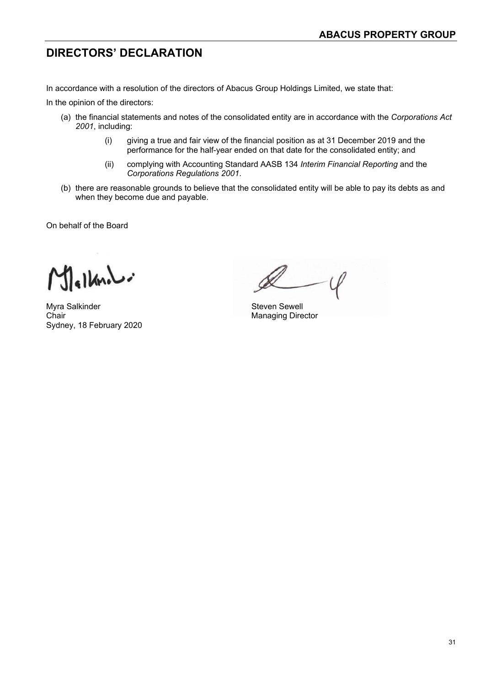### **DIRECTORS' DECLARATION**

In accordance with a resolution of the directors of Abacus Group Holdings Limited, we state that:

In the opinion of the directors:

- (a) the financial statements and notes of the consolidated entity are in accordance with the *Corporations Act 2001*, including:
	- (i) giving a true and fair view of the financial position as at 31 December 2019 and the performance for the half-year ended on that date for the consolidated entity; and
	- (ii) complying with Accounting Standard AASB 134 *Interim Financial Reporting* and the *Corporations Regulations 2001*.
- (b) there are reasonable grounds to believe that the consolidated entity will be able to pay its debts as and when they become due and payable.

On behalf of the Board

 $1$  $\overline{a}$ 

Myra Salkinder Steven Sewell Chair **Chair** Managing Director Sydney, 18 February 2020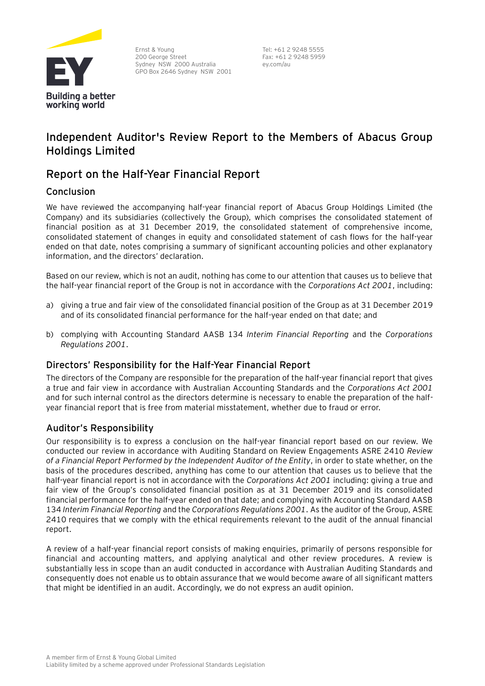

Ernst & Young 200 George Street Sydney NSW 2000 Australia GPO Box 2646 Sydney NSW 2001 Tel: +61 2 9248 5555 Fax: +61 2 9248 5959 ey.com/au

### **Independent Auditor's Review Report to the Members of Abacus Group Holdings Limited**

### **Report on the Half-Year Financial Report**

#### Conclusion

We have reviewed the accompanying half-year financial report of Abacus Group Holdings Limited (the Company) and its subsidiaries (collectively the Group), which comprises the consolidated statement of financial position as at 31 December 2019, the consolidated statement of comprehensive income, consolidated statement of changes in equity and consolidated statement of cash flows for the half-year ended on that date, notes comprising a summary of significant accounting policies and other explanatory information, and the directors' declaration.

Based on our review, which is not an audit, nothing has come to our attention that causes us to believe that the half-year financial report of the Group is not in accordance with the *Corporations Act 2001*, including:

- a) giving a true and fair view of the consolidated financial position of the Group as at 31 December 2019 and of its consolidated financial performance for the half-year ended on that date; and
- b) complying with Accounting Standard AASB 134 *Interim Financial Reporting* and the *Corporations Regulations 2001*.

#### Directors' Responsibility for the Half-Year Financial Report

The directors of the Company are responsible for the preparation of the half-year financial report that gives a true and fair view in accordance with Australian Accounting Standards and the *Corporations Act 2001* and for such internal control as the directors determine is necessary to enable the preparation of the halfyear financial report that is free from material misstatement, whether due to fraud or error.

#### Auditor's Responsibility

Our responsibility is to express a conclusion on the half-year financial report based on our review. We conducted our review in accordance with Auditing Standard on Review Engagements ASRE 2410 *Review of a Financial Report Performed by the Independent Auditor of the Entity*, in order to state whether, on the basis of the procedures described, anything has come to our attention that causes us to believe that the half-year financial report is not in accordance with the *Corporations Act 2001* including: giving a true and fair view of the Group's consolidated financial position as at 31 December 2019 and its consolidated financial performance for the half-year ended on that date; and complying with Accounting Standard AASB 134 *Interim Financial Reporting* and the *Corporations Regulations 2001*. As the auditor of the Group, ASRE 2410 requires that we comply with the ethical requirements relevant to the audit of the annual financial report.

A review of a half-year financial report consists of making enquiries, primarily of persons responsible for financial and accounting matters, and applying analytical and other review procedures. A review is substantially less in scope than an audit conducted in accordance with Australian Auditing Standards and consequently does not enable us to obtain assurance that we would become aware of all significant matters that might be identified in an audit. Accordingly, we do not express an audit opinion.